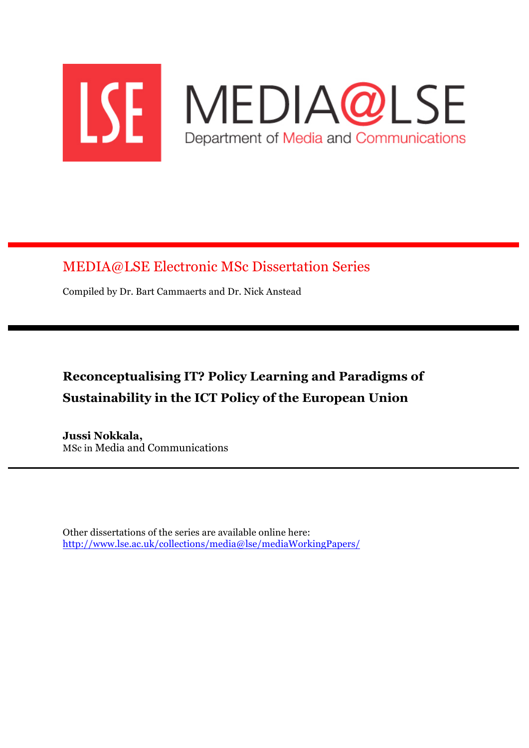

## MEDIA@LSE Electronic MSc Dissertation Series

Compiled by Dr. Bart Cammaerts and Dr. Nick Anstead

# **Reconceptualising IT? Policy Learning and Paradigms of Sustainability in the ICT Policy of the European Union**

**Jussi Nokkala,** MSc in Media and Communications

Other dissertations of the series are available online here: http://www.lse.ac.uk/collections/media@lse/mediaWorkingPapers/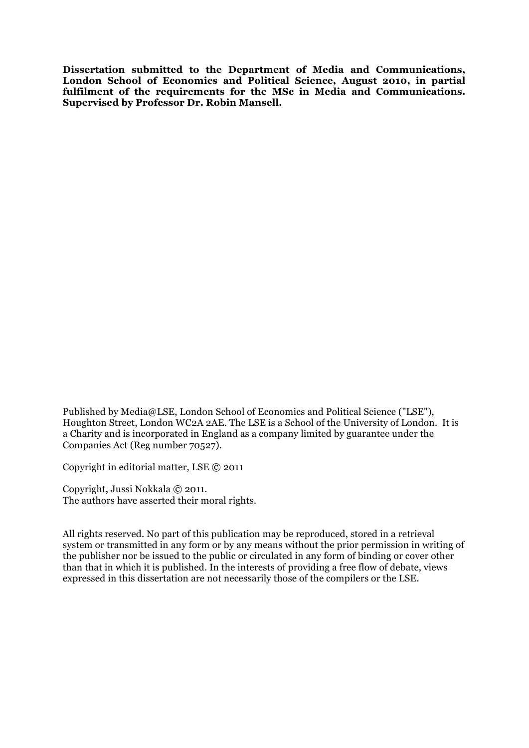**Dissertation submitted to the Department of Media and Communications, London School of Economics and Political Science, August 2010, in partial fulfilment of the requirements for the MSc in Media and Communications. Supervised by Professor Dr. Robin Mansell.**

Published by Media@LSE, London School of Economics and Political Science ("LSE"), Houghton Street, London WC2A 2AE. The LSE is a School of the University of London. It is a Charity and is incorporated in England as a company limited by guarantee under the Companies Act (Reg number 70527).

Copyright in editorial matter, LSE © 2011

Copyright, Jussi Nokkala © 2011. The authors have asserted their moral rights.

All rights reserved. No part of this publication may be reproduced, stored in a retrieval system or transmitted in any form or by any means without the prior permission in writing of the publisher nor be issued to the public or circulated in any form of binding or cover other than that in which it is published. In the interests of providing a free flow of debate, views expressed in this dissertation are not necessarily those of the compilers or the LSE.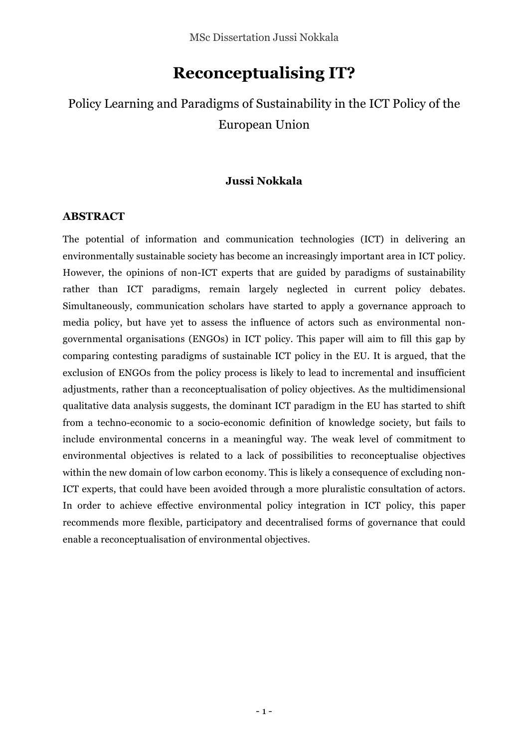## **Reconceptualising IT?**

## Policy Learning and Paradigms of Sustainability in the ICT Policy of the European Union

#### **Jussi Nokkala**

#### **ABSTRACT**

The potential of information and communication technologies (ICT) in delivering an environmentally sustainable society has become an increasingly important area in ICT policy. However, the opinions of non-ICT experts that are guided by paradigms of sustainability rather than ICT paradigms, remain largely neglected in current policy debates. Simultaneously, communication scholars have started to apply a governance approach to media policy, but have yet to assess the influence of actors such as environmental nongovernmental organisations (ENGOs) in ICT policy. This paper will aim to fill this gap by comparing contesting paradigms of sustainable ICT policy in the EU. It is argued, that the exclusion of ENGOs from the policy process is likely to lead to incremental and insufficient adjustments, rather than a reconceptualisation of policy objectives. As the multidimensional qualitative data analysis suggests, the dominant ICT paradigm in the EU has started to shift from a techno-economic to a socio-economic definition of knowledge society, but fails to include environmental concerns in a meaningful way. The weak level of commitment to environmental objectives is related to a lack of possibilities to reconceptualise objectives within the new domain of low carbon economy. This is likely a consequence of excluding non-ICT experts, that could have been avoided through a more pluralistic consultation of actors*.*  In order to achieve effective environmental policy integration in ICT policy, this paper recommends more flexible, participatory and decentralised forms of governance that could enable a reconceptualisation of environmental objectives.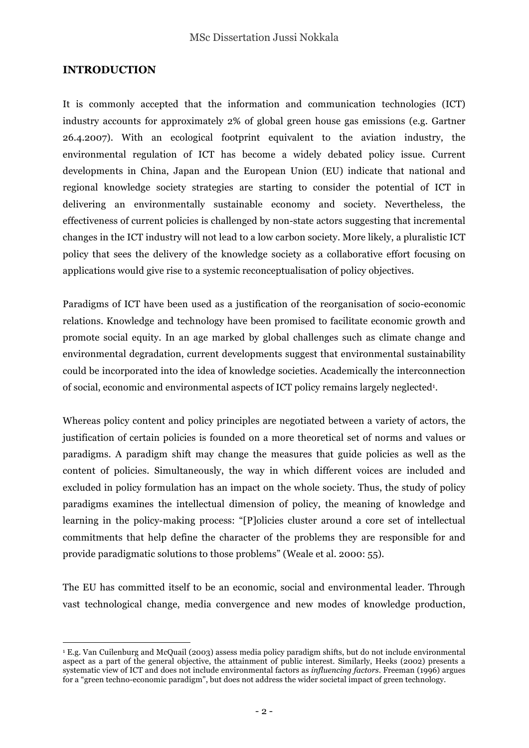### **INTRODUCTION**

It is commonly accepted that the information and communication technologies (ICT) industry accounts for approximately 2% of global green house gas emissions (e.g. Gartner 26.4.2007). With an ecological footprint equivalent to the aviation industry, the environmental regulation of ICT has become a widely debated policy issue. Current developments in China, Japan and the European Union (EU) indicate that national and regional knowledge society strategies are starting to consider the potential of ICT in delivering an environmentally sustainable economy and society. Nevertheless, the effectiveness of current policies is challenged by non-state actors suggesting that incremental changes in the ICT industry will not lead to a low carbon society. More likely, a pluralistic ICT policy that sees the delivery of the knowledge society as a collaborative effort focusing on applications would give rise to a systemic reconceptualisation of policy objectives.

Paradigms of ICT have been used as a justification of the reorganisation of socio-economic relations. Knowledge and technology have been promised to facilitate economic growth and promote social equity. In an age marked by global challenges such as climate change and environmental degradation, current developments suggest that environmental sustainability could be incorporated into the idea of knowledge societies. Academically the interconnection of social, economic and environmental aspects of ICT policy remains largely neglected<sup>1</sup>.

Whereas policy content and policy principles are negotiated between a variety of actors, the justification of certain policies is founded on a more theoretical set of norms and values or paradigms. A paradigm shift may change the measures that guide policies as well as the content of policies. Simultaneously, the way in which different voices are included and excluded in policy formulation has an impact on the whole society. Thus, the study of policy paradigms examines the intellectual dimension of policy, the meaning of knowledge and learning in the policy-making process: "[P]olicies cluster around a core set of intellectual commitments that help define the character of the problems they are responsible for and provide paradigmatic solutions to those problems" (Weale et al. 2000: 55).

The EU has committed itself to be an economic, social and environmental leader. Through vast technological change, media convergence and new modes of knowledge production,

 $\overline{a}$ <sup>1</sup> E.g. Van Cuilenburg and McQuail (2003) assess media policy paradigm shifts, but do not include environmental aspect as a part of the general objective, the attainment of public interest. Similarly, Heeks (2002) presents a systematic view of ICT and does not include environmental factors as *influencing factors*. Freeman (1996) argues for a "green techno-economic paradigm", but does not address the wider societal impact of green technology.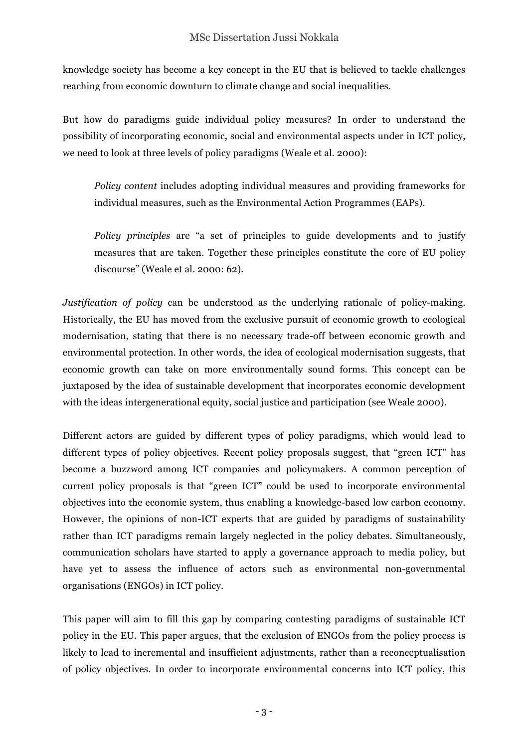knowledge society has become a key concept in the EU that is believed to tackle challenges reaching from economic downturn to climate change and social inequalities.

But how do paradigms guide individual policy measures? In order to understand the possibility of incorporating economic, social and environmental aspects under in ICT policy, we need to look at three levels of policy paradigms (Weale et al. 2000):

*Policy content* includes adopting individual measures and providing frameworks for individual measures, such as the Environmental Action Programmes (EAPs).

*Policy principles* are "a set of principles to guide developments and to justify measures that are taken. Together these principles constitute the core of EU policy discourse" (Weale et al. 2000: 62).

*Justification of policy* can be understood as the underlying rationale of policy-making. Historically, the EU has moved from the exclusive pursuit of economic growth to ecological modernisation, stating that there is no necessary trade-off between economic growth and environmental protection. In other words, the idea of ecological modernisation suggests, that economic growth can take on more environmentally sound forms. This concept can be juxtaposed by the idea of sustainable development that incorporates economic development with the ideas intergenerational equity, social justice and participation (see Weale 2000).

Different actors are guided by different types of policy paradigms, which would lead to different types of policy objectives. Recent policy proposals suggest, that "green ICT" has become a buzzword among ICT companies and policymakers. A common perception of current policy proposals is that "green ICT" could be used to incorporate environmental objectives into the economic system, thus enabling a knowledge-based low carbon economy. However, the opinions of non-ICT experts that are guided by paradigms of sustainability rather than ICT paradigms remain largely neglected in the policy debates. Simultaneously, communication scholars have started to apply a governance approach to media policy, but have yet to assess the influence of actors such as environmental non-governmental organisations (ENGOs) in ICT policy.

This paper will aim to fill this gap by comparing contesting paradigms of sustainable ICT policy in the EU. This paper argues, that the exclusion of ENGOs from the policy process is likely to lead to incremental and insufficient adjustments, rather than a reconceptualisation of policy objectives. In order to incorporate environmental concerns into ICT policy, this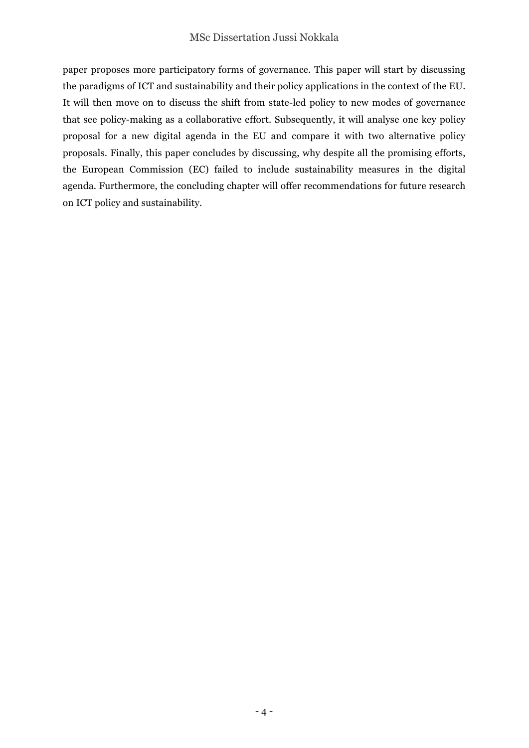paper proposes more participatory forms of governance. This paper will start by discussing the paradigms of ICT and sustainability and their policy applications in the context of the EU. It will then move on to discuss the shift from state-led policy to new modes of governance that see policy-making as a collaborative effort. Subsequently, it will analyse one key policy proposal for a new digital agenda in the EU and compare it with two alternative policy proposals. Finally, this paper concludes by discussing, why despite all the promising efforts, the European Commission (EC) failed to include sustainability measures in the digital agenda. Furthermore, the concluding chapter will offer recommendations for future research on ICT policy and sustainability.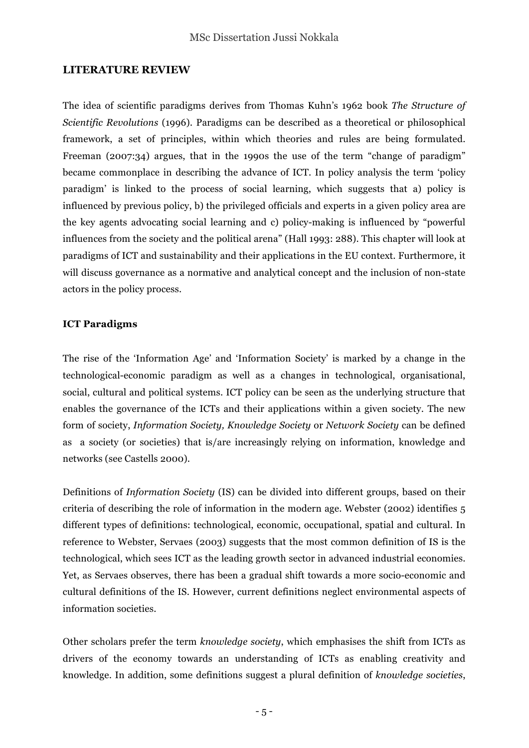### **LITERATURE REVIEW**

The idea of scientific paradigms derives from Thomas Kuhn's 1962 book *The Structure of Scientific Revolutions* (1996)*.* Paradigms can be described as a theoretical or philosophical framework, a set of principles, within which theories and rules are being formulated. Freeman (2007:34) argues, that in the 1990s the use of the term "change of paradigm" became commonplace in describing the advance of ICT. In policy analysis the term 'policy paradigm' is linked to the process of social learning, which suggests that a) policy is influenced by previous policy, b) the privileged officials and experts in a given policy area are the key agents advocating social learning and c) policy-making is influenced by "powerful influences from the society and the political arena" (Hall 1993: 288). This chapter will look at paradigms of ICT and sustainability and their applications in the EU context. Furthermore, it will discuss governance as a normative and analytical concept and the inclusion of non-state actors in the policy process.

#### **ICT Paradigms**

The rise of the 'Information Age' and 'Information Society' is marked by a change in the technological-economic paradigm as well as a changes in technological, organisational, social, cultural and political systems. ICT policy can be seen as the underlying structure that enables the governance of the ICTs and their applications within a given society. The new form of society, *Information Society, Knowledge Society* or *Network Society* can be defined as a society (or societies) that is/are increasingly relying on information, knowledge and networks (see Castells 2000).

Definitions of *Information Society* (IS) can be divided into different groups, based on their criteria of describing the role of information in the modern age. Webster (2002) identifies 5 different types of definitions: technological, economic, occupational, spatial and cultural. In reference to Webster, Servaes (2003) suggests that the most common definition of IS is the technological, which sees ICT as the leading growth sector in advanced industrial economies. Yet, as Servaes observes, there has been a gradual shift towards a more socio-economic and cultural definitions of the IS. However, current definitions neglect environmental aspects of information societies.

Other scholars prefer the term *knowledge society*, which emphasises the shift from ICTs as drivers of the economy towards an understanding of ICTs as enabling creativity and knowledge. In addition, some definitions suggest a plural definition of *knowledge societies*,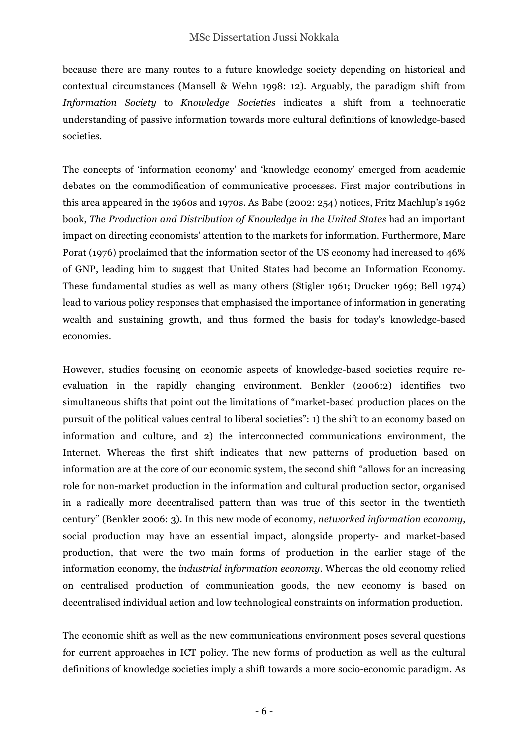because there are many routes to a future knowledge society depending on historical and contextual circumstances (Mansell & Wehn 1998: 12). Arguably, the paradigm shift from *Information Society* to *Knowledge Societies* indicates a shift from a technocratic understanding of passive information towards more cultural definitions of knowledge-based societies.

The concepts of 'information economy' and 'knowledge economy' emerged from academic debates on the commodification of communicative processes. First major contributions in this area appeared in the 1960s and 1970s. As Babe (2002: 254) notices, Fritz Machlup's 1962 book, *The Production and Distribution of Knowledge in the United States* had an important impact on directing economists' attention to the markets for information. Furthermore, Marc Porat (1976) proclaimed that the information sector of the US economy had increased to 46% of GNP, leading him to suggest that United States had become an Information Economy. These fundamental studies as well as many others (Stigler 1961; Drucker 1969; Bell 1974) lead to various policy responses that emphasised the importance of information in generating wealth and sustaining growth, and thus formed the basis for today's knowledge-based economies.

However, studies focusing on economic aspects of knowledge-based societies require reevaluation in the rapidly changing environment. Benkler (2006:2) identifies two simultaneous shifts that point out the limitations of "market-based production places on the pursuit of the political values central to liberal societies": 1) the shift to an economy based on information and culture, and 2) the interconnected communications environment, the Internet. Whereas the first shift indicates that new patterns of production based on information are at the core of our economic system, the second shift "allows for an increasing role for non-market production in the information and cultural production sector, organised in a radically more decentralised pattern than was true of this sector in the twentieth century" (Benkler 2006: 3). In this new mode of economy, *networked information economy*, social production may have an essential impact, alongside property- and market-based production, that were the two main forms of production in the earlier stage of the information economy, the *industrial information economy*. Whereas the old economy relied on centralised production of communication goods, the new economy is based on decentralised individual action and low technological constraints on information production.

The economic shift as well as the new communications environment poses several questions for current approaches in ICT policy. The new forms of production as well as the cultural definitions of knowledge societies imply a shift towards a more socio-economic paradigm. As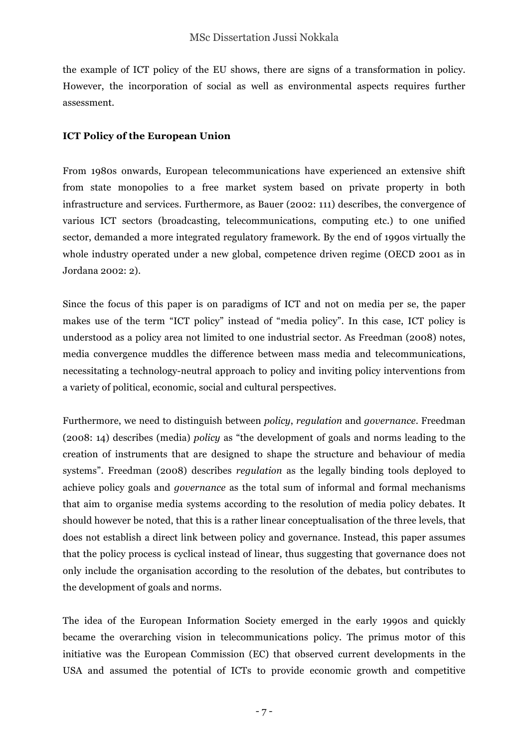the example of ICT policy of the EU shows, there are signs of a transformation in policy. However, the incorporation of social as well as environmental aspects requires further assessment.

#### **ICT Policy of the European Union**

From 1980s onwards, European telecommunications have experienced an extensive shift from state monopolies to a free market system based on private property in both infrastructure and services. Furthermore, as Bauer (2002: 111) describes, the convergence of various ICT sectors (broadcasting, telecommunications, computing etc.) to one unified sector, demanded a more integrated regulatory framework. By the end of 1990s virtually the whole industry operated under a new global, competence driven regime (OECD 2001 as in Jordana 2002: 2).

Since the focus of this paper is on paradigms of ICT and not on media per se, the paper makes use of the term "ICT policy" instead of "media policy". In this case, ICT policy is understood as a policy area not limited to one industrial sector. As Freedman (2008) notes, media convergence muddles the difference between mass media and telecommunications, necessitating a technology-neutral approach to policy and inviting policy interventions from a variety of political, economic, social and cultural perspectives.

Furthermore, we need to distinguish between *policy*, *regulation* and *governance*. Freedman (2008: 14) describes (media) *policy* as "the development of goals and norms leading to the creation of instruments that are designed to shape the structure and behaviour of media systems". Freedman (2008) describes *regulation* as the legally binding tools deployed to achieve policy goals and *governance* as the total sum of informal and formal mechanisms that aim to organise media systems according to the resolution of media policy debates. It should however be noted, that this is a rather linear conceptualisation of the three levels, that does not establish a direct link between policy and governance. Instead, this paper assumes that the policy process is cyclical instead of linear, thus suggesting that governance does not only include the organisation according to the resolution of the debates, but contributes to the development of goals and norms.

The idea of the European Information Society emerged in the early 1990s and quickly became the overarching vision in telecommunications policy. The primus motor of this initiative was the European Commission (EC) that observed current developments in the USA and assumed the potential of ICTs to provide economic growth and competitive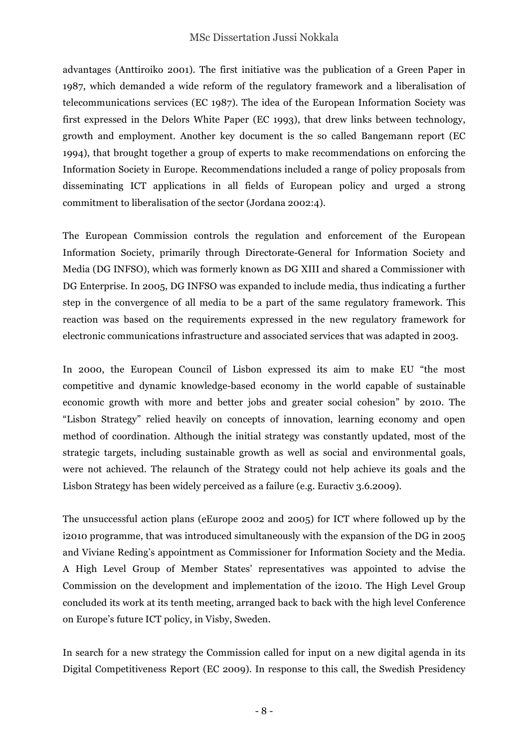advantages (Anttiroiko 2001). The first initiative was the publication of a Green Paper in 1987, which demanded a wide reform of the regulatory framework and a liberalisation of telecommunications services (EC 1987). The idea of the European Information Society was first expressed in the Delors White Paper (EC 1993), that drew links between technology, growth and employment. Another key document is the so called Bangemann report (EC 1994), that brought together a group of experts to make recommendations on enforcing the Information Society in Europe. Recommendations included a range of policy proposals from disseminating ICT applications in all fields of European policy and urged a strong commitment to liberalisation of the sector (Jordana 2002:4).

The European Commission controls the regulation and enforcement of the European Information Society, primarily through Directorate-General for Information Society and Media (DG INFSO), which was formerly known as DG XIII and shared a Commissioner with DG Enterprise. In 2005, DG INFSO was expanded to include media, thus indicating a further step in the convergence of all media to be a part of the same regulatory framework. This reaction was based on the requirements expressed in the new regulatory framework for electronic communications infrastructure and associated services that was adapted in 2003.

In 2000, the European Council of Lisbon expressed its aim to make EU "the most competitive and dynamic knowledge-based economy in the world capable of sustainable economic growth with more and better jobs and greater social cohesion" by 2010. The "Lisbon Strategy" relied heavily on concepts of innovation, learning economy and open method of coordination. Although the initial strategy was constantly updated, most of the strategic targets, including sustainable growth as well as social and environmental goals, were not achieved. The relaunch of the Strategy could not help achieve its goals and the Lisbon Strategy has been widely perceived as a failure (e.g. Euractiv 3.6.2009).

The unsuccessful action plans (eEurope 2002 and 2005) for ICT where followed up by the i2010 programme, that was introduced simultaneously with the expansion of the DG in 2005 and Viviane Reding's appointment as Commissioner for Information Society and the Media. A High Level Group of Member States' representatives was appointed to advise the Commission on the development and implementation of the i2010. The High Level Group concluded its work at its tenth meeting, arranged back to back with the high level Conference on Europe's future ICT policy, in Visby, Sweden.

In search for a new strategy the Commission called for input on a new digital agenda in its Digital Competitiveness Report (EC 2009). In response to this call, the Swedish Presidency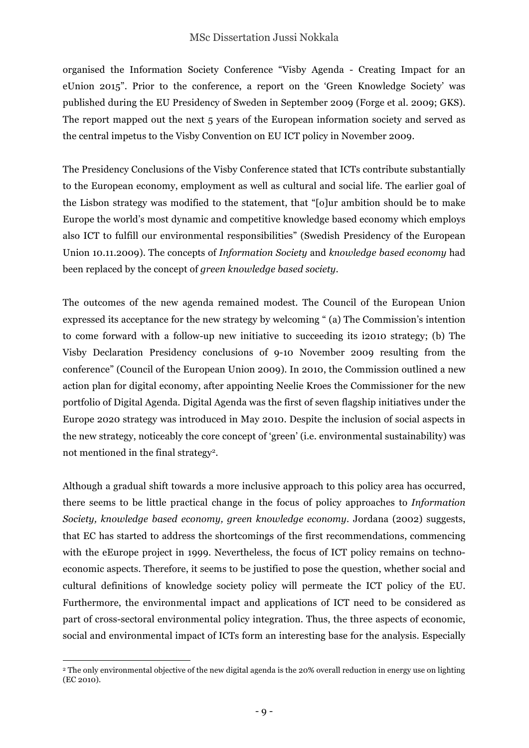organised the Information Society Conference "Visby Agenda - Creating Impact for an eUnion 2015". Prior to the conference, a report on the 'Green Knowledge Society' was published during the EU Presidency of Sweden in September 2009 (Forge et al. 2009; GKS). The report mapped out the next 5 years of the European information society and served as the central impetus to the Visby Convention on EU ICT policy in November 2009.

The Presidency Conclusions of the Visby Conference stated that ICTs contribute substantially to the European economy, employment as well as cultural and social life. The earlier goal of the Lisbon strategy was modified to the statement, that "[o]ur ambition should be to make Europe the world's most dynamic and competitive knowledge based economy which employs also ICT to fulfill our environmental responsibilities" (Swedish Presidency of the European Union 10.11.2009). The concepts of *Information Society* and *knowledge based economy* had been replaced by the concept of *green knowledge based society*.

The outcomes of the new agenda remained modest. The Council of the European Union expressed its acceptance for the new strategy by welcoming " (a) The Commission's intention to come forward with a follow-up new initiative to succeeding its i2010 strategy; (b) The Visby Declaration Presidency conclusions of 9-10 November 2009 resulting from the conference" (Council of the European Union 2009). In 2010, the Commission outlined a new action plan for digital economy, after appointing Neelie Kroes the Commissioner for the new portfolio of Digital Agenda. Digital Agenda was the first of seven flagship initiatives under the Europe 2020 strategy was introduced in May 2010. Despite the inclusion of social aspects in the new strategy, noticeably the core concept of 'green' (i.e. environmental sustainability) was not mentioned in the final strategy2.

Although a gradual shift towards a more inclusive approach to this policy area has occurred, there seems to be little practical change in the focus of policy approaches to *Information Society, knowledge based economy, green knowledge economy*. Jordana (2002) suggests, that EC has started to address the shortcomings of the first recommendations, commencing with the eEurope project in 1999. Nevertheless, the focus of ICT policy remains on technoeconomic aspects. Therefore, it seems to be justified to pose the question, whether social and cultural definitions of knowledge society policy will permeate the ICT policy of the EU. Furthermore, the environmental impact and applications of ICT need to be considered as part of cross-sectoral environmental policy integration. Thus, the three aspects of economic, social and environmental impact of ICTs form an interesting base for the analysis. Especially

 $\overline{a}$ <sup>2</sup> The only environmental objective of the new digital agenda is the 20% overall reduction in energy use on lighting (EC 2010).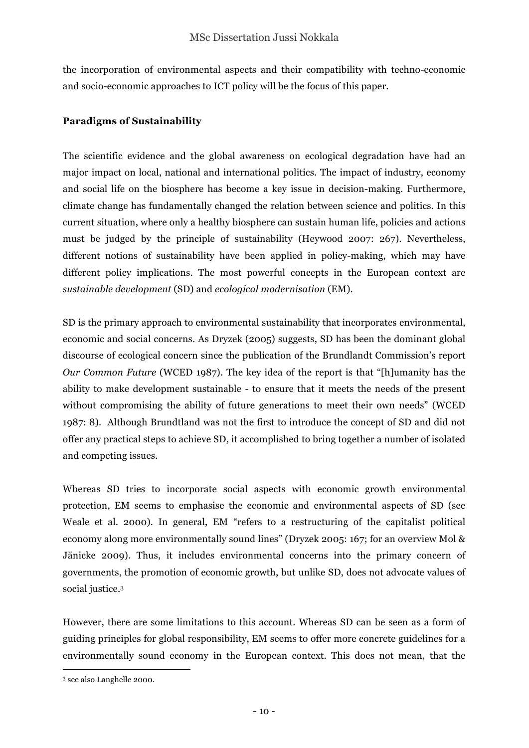the incorporation of environmental aspects and their compatibility with techno-economic and socio-economic approaches to ICT policy will be the focus of this paper.

#### **Paradigms of Sustainability**

The scientific evidence and the global awareness on ecological degradation have had an major impact on local, national and international politics. The impact of industry, economy and social life on the biosphere has become a key issue in decision-making. Furthermore, climate change has fundamentally changed the relation between science and politics. In this current situation, where only a healthy biosphere can sustain human life, policies and actions must be judged by the principle of sustainability (Heywood 2007: 267). Nevertheless, different notions of sustainability have been applied in policy-making, which may have different policy implications. The most powerful concepts in the European context are *sustainable development* (SD) and *ecological modernisation* (EM).

SD is the primary approach to environmental sustainability that incorporates environmental, economic and social concerns. As Dryzek (2005) suggests, SD has been the dominant global discourse of ecological concern since the publication of the Brundlandt Commission's report *Our Common Future* (WCED 1987). The key idea of the report is that "[h]umanity has the ability to make development sustainable - to ensure that it meets the needs of the present without compromising the ability of future generations to meet their own needs" (WCED 1987: 8). Although Brundtland was not the first to introduce the concept of SD and did not offer any practical steps to achieve SD, it accomplished to bring together a number of isolated and competing issues.

Whereas SD tries to incorporate social aspects with economic growth environmental protection, EM seems to emphasise the economic and environmental aspects of SD (see Weale et al. 2000)*.* In general, EM "refers to a restructuring of the capitalist political economy along more environmentally sound lines" (Dryzek 2005: 167; for an overview Mol & Jänicke 2009). Thus, it includes environmental concerns into the primary concern of governments, the promotion of economic growth, but unlike SD, does not advocate values of social justice.3

However, there are some limitations to this account. Whereas SD can be seen as a form of guiding principles for global responsibility, EM seems to offer more concrete guidelines for a environmentally sound economy in the European context. This does not mean, that the

 $\overline{a}$ <sup>3</sup> see also Langhelle 2000.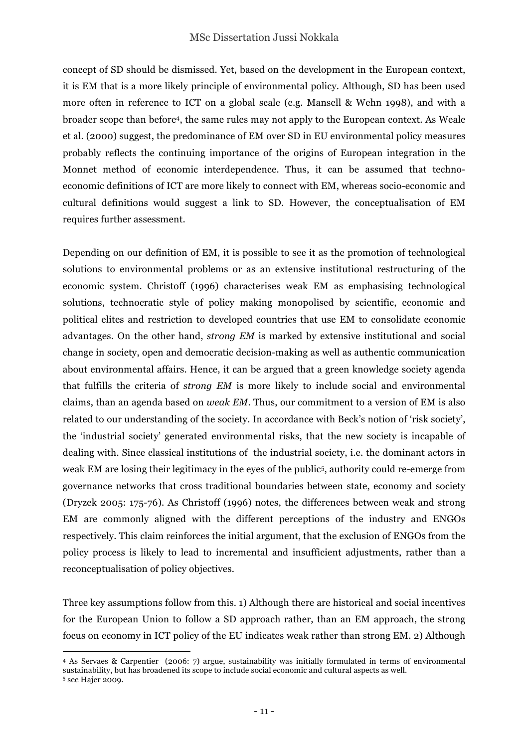concept of SD should be dismissed. Yet, based on the development in the European context, it is EM that is a more likely principle of environmental policy. Although, SD has been used more often in reference to ICT on a global scale (e.g. Mansell & Wehn 1998), and with a broader scope than before4, the same rules may not apply to the European context. As Weale et al. (2000) suggest, the predominance of EM over SD in EU environmental policy measures probably reflects the continuing importance of the origins of European integration in the Monnet method of economic interdependence. Thus, it can be assumed that technoeconomic definitions of ICT are more likely to connect with EM, whereas socio-economic and cultural definitions would suggest a link to SD. However, the conceptualisation of EM requires further assessment.

Depending on our definition of EM, it is possible to see it as the promotion of technological solutions to environmental problems or as an extensive institutional restructuring of the economic system. Christoff (1996) characterises weak EM as emphasising technological solutions, technocratic style of policy making monopolised by scientific, economic and political elites and restriction to developed countries that use EM to consolidate economic advantages. On the other hand, *strong EM* is marked by extensive institutional and social change in society, open and democratic decision-making as well as authentic communication about environmental affairs. Hence, it can be argued that a green knowledge society agenda that fulfills the criteria of *strong EM* is more likely to include social and environmental claims, than an agenda based on *weak EM*. Thus, our commitment to a version of EM is also related to our understanding of the society. In accordance with Beck's notion of 'risk society', the 'industrial society' generated environmental risks, that the new society is incapable of dealing with. Since classical institutions of the industrial society, i.e. the dominant actors in weak EM are losing their legitimacy in the eyes of the public5, authority could re-emerge from governance networks that cross traditional boundaries between state, economy and society (Dryzek 2005: 175-76). As Christoff (1996) notes, the differences between weak and strong EM are commonly aligned with the different perceptions of the industry and ENGOs respectively. This claim reinforces the initial argument, that the exclusion of ENGOs from the policy process is likely to lead to incremental and insufficient adjustments, rather than a reconceptualisation of policy objectives.

Three key assumptions follow from this. 1) Although there are historical and social incentives for the European Union to follow a SD approach rather, than an EM approach, the strong focus on economy in ICT policy of the EU indicates weak rather than strong EM. 2) Although

 $\overline{a}$ 

<sup>4</sup> As Servaes & Carpentier (2006: 7) argue, sustainability was initially formulated in terms of environmental sustainability, but has broadened its scope to include social economic and cultural aspects as well. <sup>5</sup> see Hajer 2009.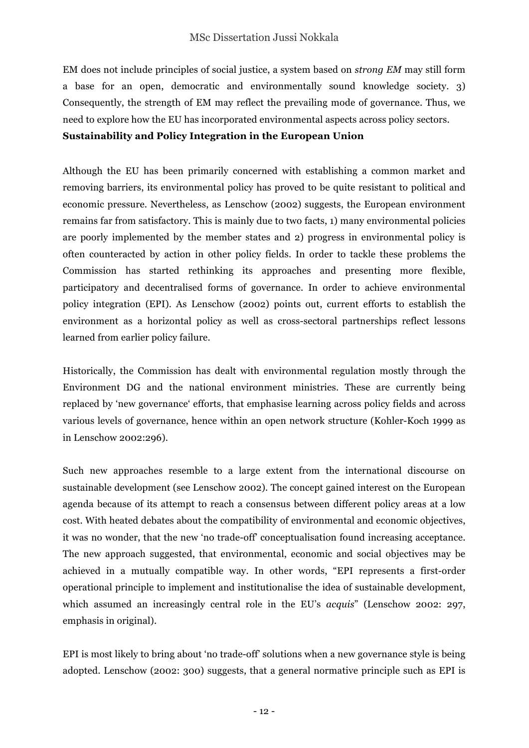EM does not include principles of social justice, a system based on *strong EM* may still form a base for an open, democratic and environmentally sound knowledge society. 3) Consequently, the strength of EM may reflect the prevailing mode of governance. Thus, we need to explore how the EU has incorporated environmental aspects across policy sectors.

#### **Sustainability and Policy Integration in the European Union**

Although the EU has been primarily concerned with establishing a common market and removing barriers, its environmental policy has proved to be quite resistant to political and economic pressure. Nevertheless, as Lenschow (2002) suggests, the European environment remains far from satisfactory. This is mainly due to two facts, 1) many environmental policies are poorly implemented by the member states and 2) progress in environmental policy is often counteracted by action in other policy fields. In order to tackle these problems the Commission has started rethinking its approaches and presenting more flexible, participatory and decentralised forms of governance. In order to achieve environmental policy integration (EPI). As Lenschow (2002) points out, current efforts to establish the environment as a horizontal policy as well as cross-sectoral partnerships reflect lessons learned from earlier policy failure.

Historically, the Commission has dealt with environmental regulation mostly through the Environment DG and the national environment ministries. These are currently being replaced by 'new governance' efforts, that emphasise learning across policy fields and across various levels of governance, hence within an open network structure (Kohler-Koch 1999 as in Lenschow 2002:296).

Such new approaches resemble to a large extent from the international discourse on sustainable development (see Lenschow 2002). The concept gained interest on the European agenda because of its attempt to reach a consensus between different policy areas at a low cost. With heated debates about the compatibility of environmental and economic objectives, it was no wonder, that the new 'no trade-off' conceptualisation found increasing acceptance. The new approach suggested, that environmental, economic and social objectives may be achieved in a mutually compatible way. In other words, "EPI represents a first-order operational principle to implement and institutionalise the idea of sustainable development, which assumed an increasingly central role in the EU's *acquis*" (Lenschow 2002: 297, emphasis in original).

EPI is most likely to bring about 'no trade-off' solutions when a new governance style is being adopted. Lenschow (2002: 300) suggests, that a general normative principle such as EPI is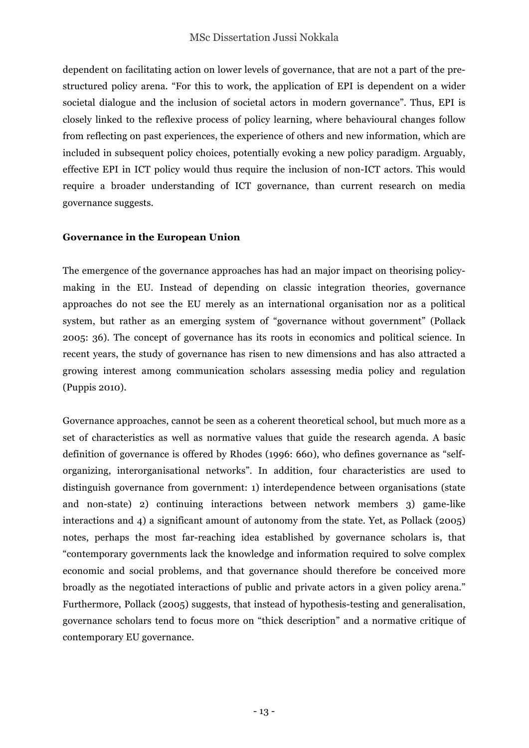dependent on facilitating action on lower levels of governance, that are not a part of the prestructured policy arena. "For this to work, the application of EPI is dependent on a wider societal dialogue and the inclusion of societal actors in modern governance". Thus, EPI is closely linked to the reflexive process of policy learning, where behavioural changes follow from reflecting on past experiences, the experience of others and new information, which are included in subsequent policy choices, potentially evoking a new policy paradigm. Arguably, effective EPI in ICT policy would thus require the inclusion of non-ICT actors. This would require a broader understanding of ICT governance, than current research on media governance suggests.

#### **Governance in the European Union**

The emergence of the governance approaches has had an major impact on theorising policymaking in the EU. Instead of depending on classic integration theories, governance approaches do not see the EU merely as an international organisation nor as a political system, but rather as an emerging system of "governance without government" (Pollack 2005: 36). The concept of governance has its roots in economics and political science. In recent years, the study of governance has risen to new dimensions and has also attracted a growing interest among communication scholars assessing media policy and regulation (Puppis 2010).

Governance approaches, cannot be seen as a coherent theoretical school, but much more as a set of characteristics as well as normative values that guide the research agenda. A basic definition of governance is offered by Rhodes (1996: 660), who defines governance as "selforganizing, interorganisational networks". In addition, four characteristics are used to distinguish governance from government: 1) interdependence between organisations (state and non-state) 2) continuing interactions between network members 3) game-like interactions and 4) a significant amount of autonomy from the state. Yet, as Pollack (2005) notes, perhaps the most far-reaching idea established by governance scholars is, that "contemporary governments lack the knowledge and information required to solve complex economic and social problems, and that governance should therefore be conceived more broadly as the negotiated interactions of public and private actors in a given policy arena." Furthermore, Pollack (2005) suggests, that instead of hypothesis-testing and generalisation, governance scholars tend to focus more on "thick description" and a normative critique of contemporary EU governance.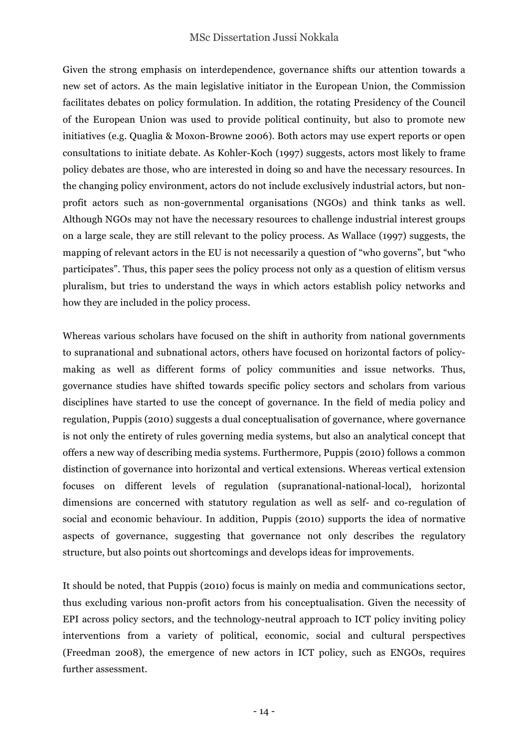Given the strong emphasis on interdependence, governance shifts our attention towards a new set of actors. As the main legislative initiator in the European Union, the Commission facilitates debates on policy formulation. In addition, the rotating Presidency of the Council of the European Union was used to provide political continuity, but also to promote new initiatives (e.g. Quaglia & Moxon-Browne 2006). Both actors may use expert reports or open consultations to initiate debate. As Kohler-Koch (1997) suggests, actors most likely to frame policy debates are those, who are interested in doing so and have the necessary resources. In the changing policy environment, actors do not include exclusively industrial actors, but nonprofit actors such as non-governmental organisations (NGOs) and think tanks as well. Although NGOs may not have the necessary resources to challenge industrial interest groups on a large scale, they are still relevant to the policy process. As Wallace (1997) suggests, the mapping of relevant actors in the EU is not necessarily a question of "who governs", but "who participates". Thus, this paper sees the policy process not only as a question of elitism versus pluralism, but tries to understand the ways in which actors establish policy networks and how they are included in the policy process.

Whereas various scholars have focused on the shift in authority from national governments to supranational and subnational actors, others have focused on horizontal factors of policymaking as well as different forms of policy communities and issue networks. Thus, governance studies have shifted towards specific policy sectors and scholars from various disciplines have started to use the concept of governance. In the field of media policy and regulation, Puppis (2010) suggests a dual conceptualisation of governance, where governance is not only the entirety of rules governing media systems, but also an analytical concept that offers a new way of describing media systems. Furthermore, Puppis (2010) follows a common distinction of governance into horizontal and vertical extensions. Whereas vertical extension focuses on different levels of regulation (supranational-national-local), horizontal dimensions are concerned with statutory regulation as well as self- and co-regulation of social and economic behaviour. In addition, Puppis (2010) supports the idea of normative aspects of governance, suggesting that governance not only describes the regulatory structure, but also points out shortcomings and develops ideas for improvements.

It should be noted, that Puppis (2010) focus is mainly on media and communications sector, thus excluding various non-profit actors from his conceptualisation. Given the necessity of EPI across policy sectors, and the technology-neutral approach to ICT policy inviting policy interventions from a variety of political, economic, social and cultural perspectives (Freedman 2008), the emergence of new actors in ICT policy, such as ENGOs, requires further assessment.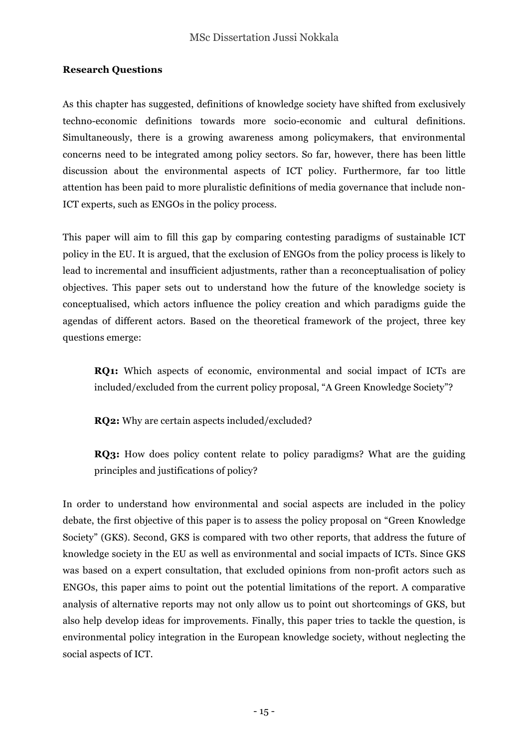#### **Research Questions**

As this chapter has suggested, definitions of knowledge society have shifted from exclusively techno-economic definitions towards more socio-economic and cultural definitions. Simultaneously, there is a growing awareness among policymakers, that environmental concerns need to be integrated among policy sectors. So far, however, there has been little discussion about the environmental aspects of ICT policy. Furthermore, far too little attention has been paid to more pluralistic definitions of media governance that include non-ICT experts, such as ENGOs in the policy process.

This paper will aim to fill this gap by comparing contesting paradigms of sustainable ICT policy in the EU. It is argued, that the exclusion of ENGOs from the policy process is likely to lead to incremental and insufficient adjustments, rather than a reconceptualisation of policy objectives. This paper sets out to understand how the future of the knowledge society is conceptualised, which actors influence the policy creation and which paradigms guide the agendas of different actors. Based on the theoretical framework of the project, three key questions emerge:

**RQ1:** Which aspects of economic, environmental and social impact of ICTs are included/excluded from the current policy proposal, "A Green Knowledge Society"?

**RQ2:** Why are certain aspects included/excluded?

**RQ3:** How does policy content relate to policy paradigms? What are the guiding principles and justifications of policy?

In order to understand how environmental and social aspects are included in the policy debate, the first objective of this paper is to assess the policy proposal on "Green Knowledge Society" (GKS). Second, GKS is compared with two other reports, that address the future of knowledge society in the EU as well as environmental and social impacts of ICTs. Since GKS was based on a expert consultation, that excluded opinions from non-profit actors such as ENGOs, this paper aims to point out the potential limitations of the report. A comparative analysis of alternative reports may not only allow us to point out shortcomings of GKS, but also help develop ideas for improvements. Finally, this paper tries to tackle the question, is environmental policy integration in the European knowledge society, without neglecting the social aspects of ICT.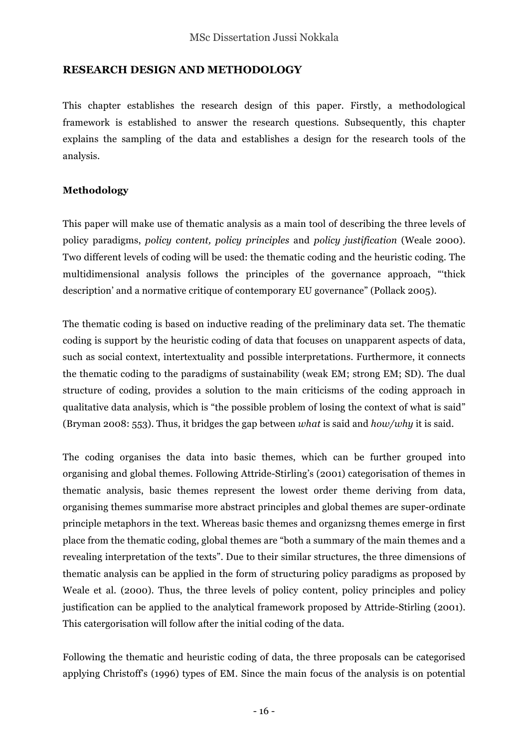#### **RESEARCH DESIGN AND METHODOLOGY**

This chapter establishes the research design of this paper. Firstly, a methodological framework is established to answer the research questions. Subsequently, this chapter explains the sampling of the data and establishes a design for the research tools of the analysis.

#### **Methodology**

This paper will make use of thematic analysis as a main tool of describing the three levels of policy paradigms, *policy content, policy principles* and *policy justification* (Weale 2000). Two different levels of coding will be used: the thematic coding and the heuristic coding. The multidimensional analysis follows the principles of the governance approach, "'thick description' and a normative critique of contemporary EU governance" (Pollack 2005).

The thematic coding is based on inductive reading of the preliminary data set. The thematic coding is support by the heuristic coding of data that focuses on unapparent aspects of data, such as social context, intertextuality and possible interpretations. Furthermore, it connects the thematic coding to the paradigms of sustainability (weak EM; strong EM; SD). The dual structure of coding, provides a solution to the main criticisms of the coding approach in qualitative data analysis, which is "the possible problem of losing the context of what is said" (Bryman 2008: 553). Thus, it bridges the gap between *what* is said and *how/why* it is said.

The coding organises the data into basic themes, which can be further grouped into organising and global themes. Following Attride-Stirling's (2001) categorisation of themes in thematic analysis, basic themes represent the lowest order theme deriving from data, organising themes summarise more abstract principles and global themes are super-ordinate principle metaphors in the text. Whereas basic themes and organizsng themes emerge in first place from the thematic coding, global themes are "both a summary of the main themes and a revealing interpretation of the texts". Due to their similar structures, the three dimensions of thematic analysis can be applied in the form of structuring policy paradigms as proposed by Weale et al. (2000). Thus, the three levels of policy content, policy principles and policy justification can be applied to the analytical framework proposed by Attride-Stirling (2001). This catergorisation will follow after the initial coding of the data.

Following the thematic and heuristic coding of data, the three proposals can be categorised applying Christoff's (1996) types of EM. Since the main focus of the analysis is on potential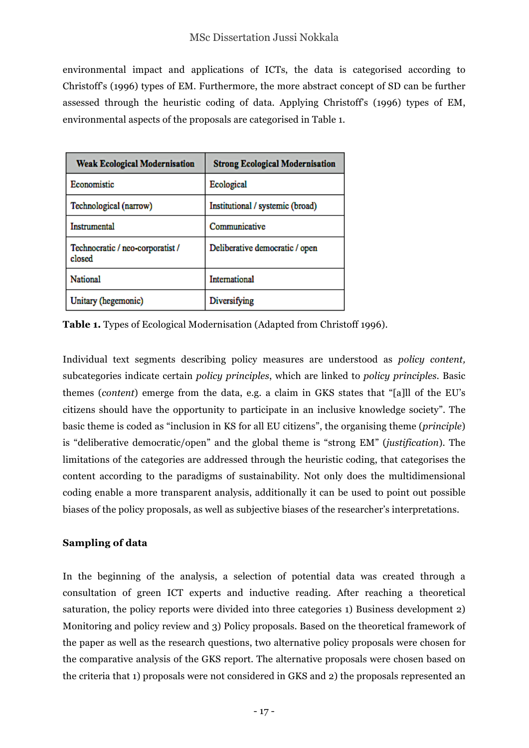environmental impact and applications of ICTs, the data is categorised according to Christoff's (1996) types of EM. Furthermore, the more abstract concept of SD can be further assessed through the heuristic coding of data. Applying Christoff's (1996) types of EM, environmental aspects of the proposals are categorised in Table 1.

| <b>Weak Ecological Modernisation</b>       | <b>Strong Ecological Modernisation</b> |
|--------------------------------------------|----------------------------------------|
| Economistic                                | Ecological                             |
| Technological (narrow)                     | Institutional / systemic (broad)       |
| <b>Instrumental</b>                        | Communicative                          |
| Technocratic / neo-corporatist /<br>closed | Deliberative democratic / open         |
| National                                   | International                          |
| Unitary (hegemonic)                        | Diversifying                           |

**Table 1.** Types of Ecological Modernisation (Adapted from Christoff 1996).

Individual text segments describing policy measures are understood as *policy content,*  subcategories indicate certain *policy principles*, which are linked to *policy principles.* Basic themes (*content*) emerge from the data, e.g. a claim in GKS states that "[a]ll of the EU's citizens should have the opportunity to participate in an inclusive knowledge society". The basic theme is coded as "inclusion in KS for all EU citizens", the organising theme (*principle*) is "deliberative democratic/open" and the global theme is "strong EM" (*justification*). The limitations of the categories are addressed through the heuristic coding, that categorises the content according to the paradigms of sustainability. Not only does the multidimensional coding enable a more transparent analysis, additionally it can be used to point out possible biases of the policy proposals, as well as subjective biases of the researcher's interpretations.

#### **Sampling of data**

In the beginning of the analysis, a selection of potential data was created through a consultation of green ICT experts and inductive reading. After reaching a theoretical saturation, the policy reports were divided into three categories 1) Business development 2) Monitoring and policy review and 3) Policy proposals. Based on the theoretical framework of the paper as well as the research questions, two alternative policy proposals were chosen for the comparative analysis of the GKS report. The alternative proposals were chosen based on the criteria that 1) proposals were not considered in GKS and 2) the proposals represented an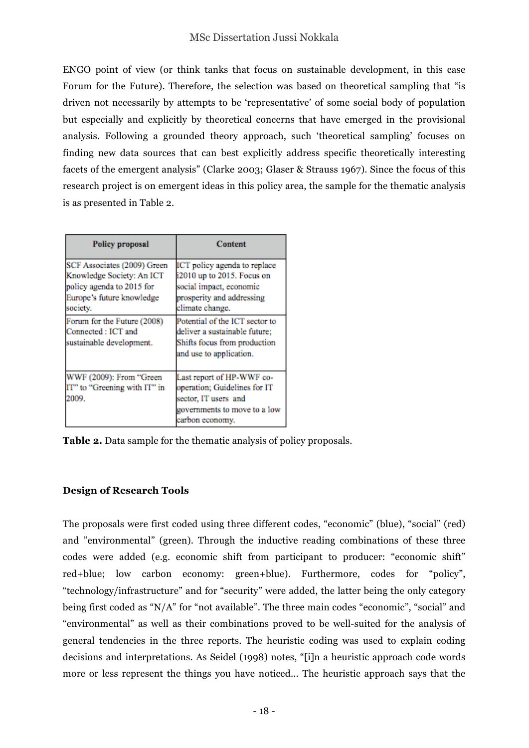ENGO point of view (or think tanks that focus on sustainable development, in this case Forum for the Future). Therefore, the selection was based on theoretical sampling that "is driven not necessarily by attempts to be 'representative' of some social body of population but especially and explicitly by theoretical concerns that have emerged in the provisional analysis. Following a grounded theory approach, such 'theoretical sampling' focuses on finding new data sources that can best explicitly address specific theoretically interesting facets of the emergent analysis" (Clarke 2003; Glaser & Strauss 1967). Since the focus of this research project is on emergent ideas in this policy area, the sample for the thematic analysis is as presented in Table 2.

| <b>Policy proposal</b>                                                                                                                                                               | <b>Content</b>                                                                                                                                                                                           |  |
|--------------------------------------------------------------------------------------------------------------------------------------------------------------------------------------|----------------------------------------------------------------------------------------------------------------------------------------------------------------------------------------------------------|--|
| SCF Associates (2009) Green<br>Knowledge Society: An ICT<br>policy agenda to 2015 for<br>Europe's future knowledge<br>society.<br>Forum for the Future (2008)<br>Connected : ICT and | ICT policy agenda to replace<br>i2010 up to 2015. Focus on<br>social impact, economic<br>prosperity and addressing<br>climate change.<br>Potential of the ICT sector to<br>deliver a sustainable future; |  |
| sustainable development.                                                                                                                                                             | Shifts focus from production<br>and use to application.                                                                                                                                                  |  |
| WWF (2009): From "Green<br>IT" to "Greening with IT" in<br>2009.                                                                                                                     | Last report of HP-WWF co-<br>operation; Guidelines for IT<br>sector, IT users and<br>governments to move to a low<br>carbon economy.                                                                     |  |

**Table 2.** Data sample for the thematic analysis of policy proposals.

### **Design of Research Tools**

The proposals were first coded using three different codes, "economic" (blue), "social" (red) and "environmental" (green). Through the inductive reading combinations of these three codes were added (e.g. economic shift from participant to producer: "economic shift" red+blue; low carbon economy: green+blue). Furthermore, codes for "policy", "technology/infrastructure" and for "security" were added, the latter being the only category being first coded as "N/A" for "not available". The three main codes "economic", "social" and "environmental" as well as their combinations proved to be well-suited for the analysis of general tendencies in the three reports. The heuristic coding was used to explain coding decisions and interpretations. As Seidel (1998) notes, "[i]n a heuristic approach code words more or less represent the things you have noticed... The heuristic approach says that the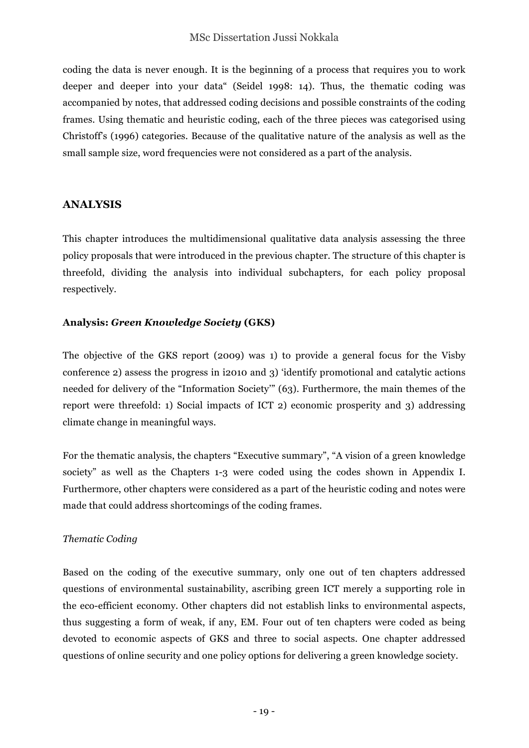coding the data is never enough. It is the beginning of a process that requires you to work deeper and deeper into your data" (Seidel 1998: 14). Thus, the thematic coding was accompanied by notes, that addressed coding decisions and possible constraints of the coding frames. Using thematic and heuristic coding, each of the three pieces was categorised using Christoff's (1996) categories. Because of the qualitative nature of the analysis as well as the small sample size, word frequencies were not considered as a part of the analysis.

#### **ANALYSIS**

This chapter introduces the multidimensional qualitative data analysis assessing the three policy proposals that were introduced in the previous chapter. The structure of this chapter is threefold, dividing the analysis into individual subchapters, for each policy proposal respectively.

#### **Analysis:** *Green Knowledge Society* **(GKS)**

The objective of the GKS report (2009) was 1) to provide a general focus for the Visby conference 2) assess the progress in i2010 and 3) 'identify promotional and catalytic actions needed for delivery of the "Information Society'" (63). Furthermore, the main themes of the report were threefold: 1) Social impacts of ICT 2) economic prosperity and 3) addressing climate change in meaningful ways.

For the thematic analysis, the chapters "Executive summary", "A vision of a green knowledge society" as well as the Chapters 1-3 were coded using the codes shown in Appendix I. Furthermore, other chapters were considered as a part of the heuristic coding and notes were made that could address shortcomings of the coding frames.

#### *Thematic Coding*

Based on the coding of the executive summary, only one out of ten chapters addressed questions of environmental sustainability, ascribing green ICT merely a supporting role in the eco-efficient economy. Other chapters did not establish links to environmental aspects, thus suggesting a form of weak, if any, EM. Four out of ten chapters were coded as being devoted to economic aspects of GKS and three to social aspects. One chapter addressed questions of online security and one policy options for delivering a green knowledge society.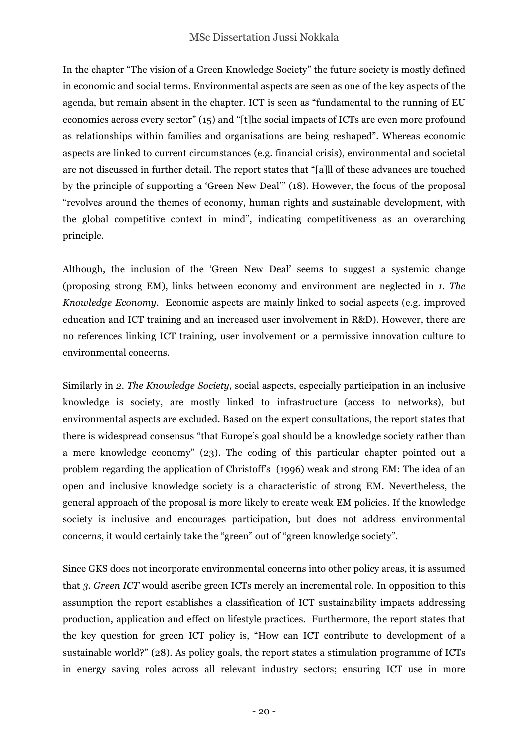In the chapter "The vision of a Green Knowledge Society" the future society is mostly defined in economic and social terms. Environmental aspects are seen as one of the key aspects of the agenda, but remain absent in the chapter. ICT is seen as "fundamental to the running of EU economies across every sector" (15) and "[t]he social impacts of ICTs are even more profound as relationships within families and organisations are being reshaped". Whereas economic aspects are linked to current circumstances (e.g. financial crisis), environmental and societal are not discussed in further detail. The report states that "[a]ll of these advances are touched by the principle of supporting a 'Green New Deal'" (18). However, the focus of the proposal "revolves around the themes of economy, human rights and sustainable development, with the global competitive context in mind", indicating competitiveness as an overarching principle.

Although, the inclusion of the 'Green New Deal' seems to suggest a systemic change (proposing strong EM), links between economy and environment are neglected in *1. The Knowledge Economy.* Economic aspects are mainly linked to social aspects (e.g. improved education and ICT training and an increased user involvement in R&D). However, there are no references linking ICT training, user involvement or a permissive innovation culture to environmental concerns.

Similarly in *2. The Knowledge Society*, social aspects, especially participation in an inclusive knowledge is society, are mostly linked to infrastructure (access to networks), but environmental aspects are excluded. Based on the expert consultations, the report states that there is widespread consensus "that Europe's goal should be a knowledge society rather than a mere knowledge economy" (23). The coding of this particular chapter pointed out a problem regarding the application of Christoff's (1996) weak and strong EM: The idea of an open and inclusive knowledge society is a characteristic of strong EM. Nevertheless, the general approach of the proposal is more likely to create weak EM policies. If the knowledge society is inclusive and encourages participation, but does not address environmental concerns, it would certainly take the "green" out of "green knowledge society".

Since GKS does not incorporate environmental concerns into other policy areas, it is assumed that *3. Green ICT* would ascribe green ICTs merely an incremental role. In opposition to this assumption the report establishes a classification of ICT sustainability impacts addressing production, application and effect on lifestyle practices. Furthermore, the report states that the key question for green ICT policy is, "How can ICT contribute to development of a sustainable world?" (28). As policy goals, the report states a stimulation programme of ICTs in energy saving roles across all relevant industry sectors; ensuring ICT use in more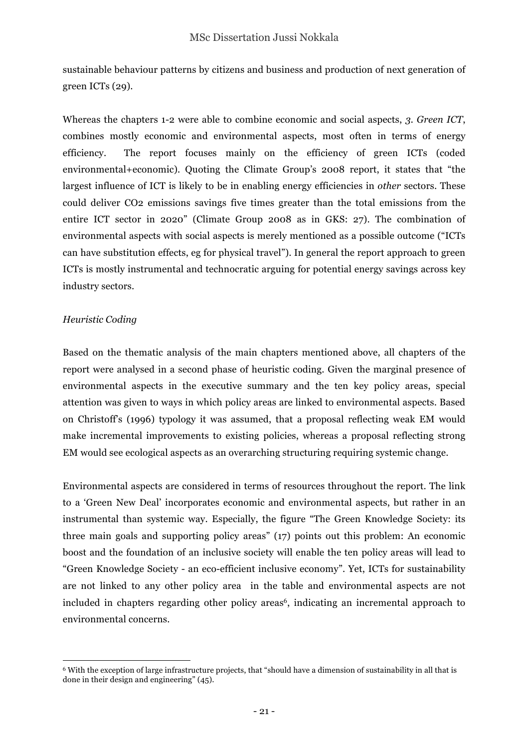sustainable behaviour patterns by citizens and business and production of next generation of green ICTs (29).

Whereas the chapters 1-2 were able to combine economic and social aspects, *3. Green ICT*, combines mostly economic and environmental aspects, most often in terms of energy efficiency. The report focuses mainly on the efficiency of green ICTs (coded environmental+economic). Quoting the Climate Group's 2008 report, it states that "the largest influence of ICT is likely to be in enabling energy efficiencies in *other* sectors. These could deliver CO2 emissions savings five times greater than the total emissions from the entire ICT sector in 2020" (Climate Group 2008 as in GKS: 27). The combination of environmental aspects with social aspects is merely mentioned as a possible outcome ("ICTs can have substitution effects, eg for physical travel"). In general the report approach to green ICTs is mostly instrumental and technocratic arguing for potential energy savings across key industry sectors.

#### *Heuristic Coding*

Based on the thematic analysis of the main chapters mentioned above, all chapters of the report were analysed in a second phase of heuristic coding. Given the marginal presence of environmental aspects in the executive summary and the ten key policy areas, special attention was given to ways in which policy areas are linked to environmental aspects. Based on Christoff's (1996) typology it was assumed, that a proposal reflecting weak EM would make incremental improvements to existing policies, whereas a proposal reflecting strong EM would see ecological aspects as an overarching structuring requiring systemic change.

Environmental aspects are considered in terms of resources throughout the report. The link to a 'Green New Deal' incorporates economic and environmental aspects, but rather in an instrumental than systemic way. Especially, the figure "The Green Knowledge Society: its three main goals and supporting policy areas" (17) points out this problem: An economic boost and the foundation of an inclusive society will enable the ten policy areas will lead to "Green Knowledge Society - an eco-efficient inclusive economy". Yet, ICTs for sustainability are not linked to any other policy area in the table and environmental aspects are not included in chapters regarding other policy areas<sup>6</sup>, indicating an incremental approach to environmental concerns.

 $\overline{a}$ <sup>6</sup> With the exception of large infrastructure projects, that "should have a dimension of sustainability in all that is done in their design and engineering" (45).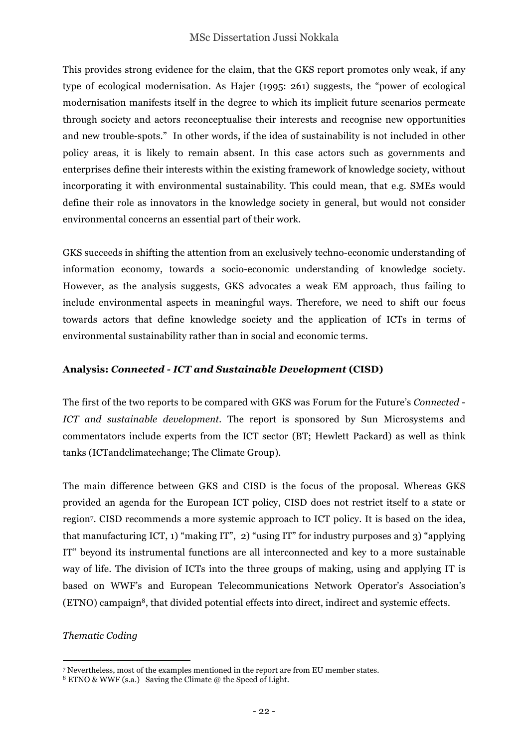This provides strong evidence for the claim, that the GKS report promotes only weak, if any type of ecological modernisation. As Hajer (1995: 261) suggests, the "power of ecological modernisation manifests itself in the degree to which its implicit future scenarios permeate through society and actors reconceptualise their interests and recognise new opportunities and new trouble-spots." In other words, if the idea of sustainability is not included in other policy areas, it is likely to remain absent. In this case actors such as governments and enterprises define their interests within the existing framework of knowledge society, without incorporating it with environmental sustainability. This could mean, that e.g. SMEs would define their role as innovators in the knowledge society in general, but would not consider environmental concerns an essential part of their work.

GKS succeeds in shifting the attention from an exclusively techno-economic understanding of information economy, towards a socio-economic understanding of knowledge society. However, as the analysis suggests, GKS advocates a weak EM approach, thus failing to include environmental aspects in meaningful ways. Therefore, we need to shift our focus towards actors that define knowledge society and the application of ICTs in terms of environmental sustainability rather than in social and economic terms.

#### **Analysis:** *Connected - ICT and Sustainable Development* **(CISD)**

The first of the two reports to be compared with GKS was Forum for the Future's *Connected - ICT and sustainable development.* The report is sponsored by Sun Microsystems and commentators include experts from the ICT sector (BT; Hewlett Packard) as well as think tanks (ICTandclimatechange; The Climate Group).

The main difference between GKS and CISD is the focus of the proposal. Whereas GKS provided an agenda for the European ICT policy, CISD does not restrict itself to a state or region7. CISD recommends a more systemic approach to ICT policy. It is based on the idea, that manufacturing ICT, 1) "making IT", 2) "using IT" for industry purposes and 3) "applying IT" beyond its instrumental functions are all interconnected and key to a more sustainable way of life. The division of ICTs into the three groups of making, using and applying IT is based on WWF's and European Telecommunications Network Operator's Association's (ETNO) campaign8, that divided potential effects into direct, indirect and systemic effects.

#### *Thematic Coding*

 $\overline{a}$ 

<sup>7</sup> Nevertheless, most of the examples mentioned in the report are from EU member states.

 $8$  ETNO & WWF (s.a.) Saving the Climate @ the Speed of Light.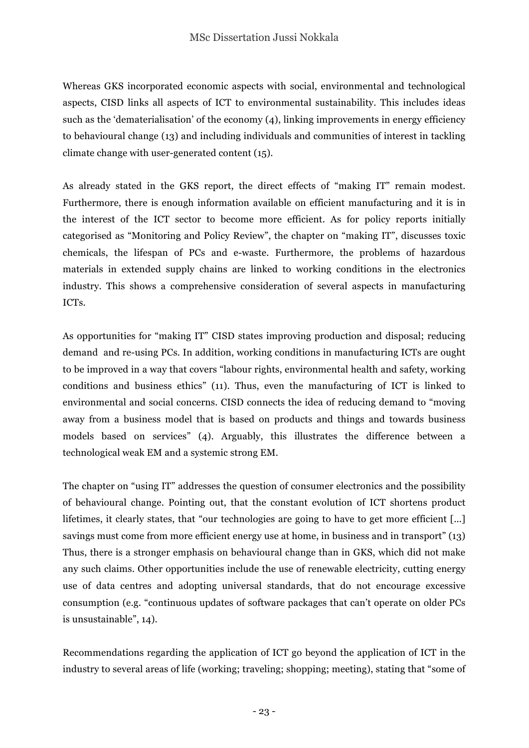Whereas GKS incorporated economic aspects with social, environmental and technological aspects, CISD links all aspects of ICT to environmental sustainability. This includes ideas such as the 'dematerialisation' of the economy (4), linking improvements in energy efficiency to behavioural change (13) and including individuals and communities of interest in tackling climate change with user-generated content (15).

As already stated in the GKS report, the direct effects of "making IT" remain modest. Furthermore, there is enough information available on efficient manufacturing and it is in the interest of the ICT sector to become more efficient. As for policy reports initially categorised as "Monitoring and Policy Review", the chapter on "making IT", discusses toxic chemicals, the lifespan of PCs and e-waste. Furthermore, the problems of hazardous materials in extended supply chains are linked to working conditions in the electronics industry. This shows a comprehensive consideration of several aspects in manufacturing ICTs.

As opportunities for "making IT" CISD states improving production and disposal; reducing demand and re-using PCs. In addition, working conditions in manufacturing ICTs are ought to be improved in a way that covers "labour rights, environmental health and safety, working conditions and business ethics" (11). Thus, even the manufacturing of ICT is linked to environmental and social concerns. CISD connects the idea of reducing demand to "moving away from a business model that is based on products and things and towards business models based on services" (4). Arguably, this illustrates the difference between a technological weak EM and a systemic strong EM.

The chapter on "using IT" addresses the question of consumer electronics and the possibility of behavioural change. Pointing out, that the constant evolution of ICT shortens product lifetimes, it clearly states, that "our technologies are going to have to get more efficient [...] savings must come from more efficient energy use at home, in business and in transport" (13) Thus, there is a stronger emphasis on behavioural change than in GKS, which did not make any such claims. Other opportunities include the use of renewable electricity, cutting energy use of data centres and adopting universal standards, that do not encourage excessive consumption (e.g. "continuous updates of software packages that can't operate on older PCs is unsustainable", 14).

Recommendations regarding the application of ICT go beyond the application of ICT in the industry to several areas of life (working; traveling; shopping; meeting), stating that "some of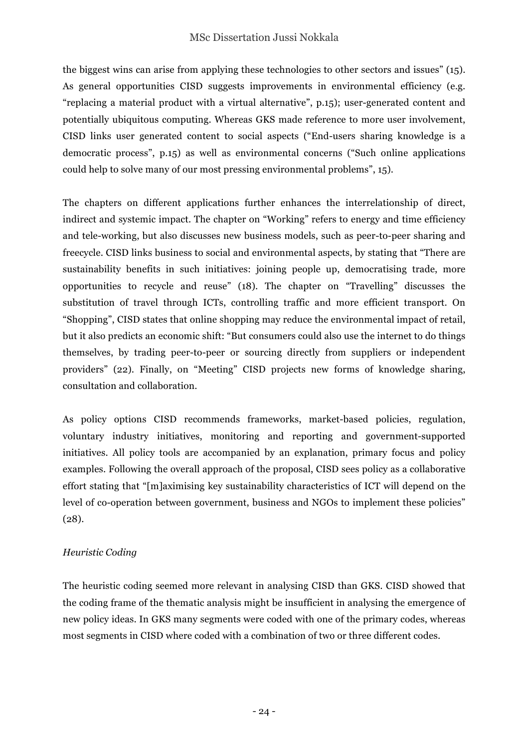#### MSc Dissertation Jussi Nokkala

the biggest wins can arise from applying these technologies to other sectors and issues" (15). As general opportunities CISD suggests improvements in environmental efficiency (e.g. "replacing a material product with a virtual alternative", p.15); user-generated content and potentially ubiquitous computing. Whereas GKS made reference to more user involvement, CISD links user generated content to social aspects ("End-users sharing knowledge is a democratic process", p.15) as well as environmental concerns ("Such online applications could help to solve many of our most pressing environmental problems", 15).

The chapters on different applications further enhances the interrelationship of direct, indirect and systemic impact. The chapter on "Working" refers to energy and time efficiency and tele-working, but also discusses new business models, such as peer-to-peer sharing and freecycle. CISD links business to social and environmental aspects, by stating that "There are sustainability benefits in such initiatives: joining people up, democratising trade, more opportunities to recycle and reuse" (18). The chapter on "Travelling" discusses the substitution of travel through ICTs, controlling traffic and more efficient transport. On "Shopping", CISD states that online shopping may reduce the environmental impact of retail, but it also predicts an economic shift: "But consumers could also use the internet to do things themselves, by trading peer-to-peer or sourcing directly from suppliers or independent providers" (22). Finally, on "Meeting" CISD projects new forms of knowledge sharing, consultation and collaboration.

As policy options CISD recommends frameworks, market-based policies, regulation, voluntary industry initiatives, monitoring and reporting and government-supported initiatives. All policy tools are accompanied by an explanation, primary focus and policy examples. Following the overall approach of the proposal, CISD sees policy as a collaborative effort stating that "[m]aximising key sustainability characteristics of ICT will depend on the level of co-operation between government, business and NGOs to implement these policies" (28).

#### *Heuristic Coding*

The heuristic coding seemed more relevant in analysing CISD than GKS. CISD showed that the coding frame of the thematic analysis might be insufficient in analysing the emergence of new policy ideas. In GKS many segments were coded with one of the primary codes, whereas most segments in CISD where coded with a combination of two or three different codes.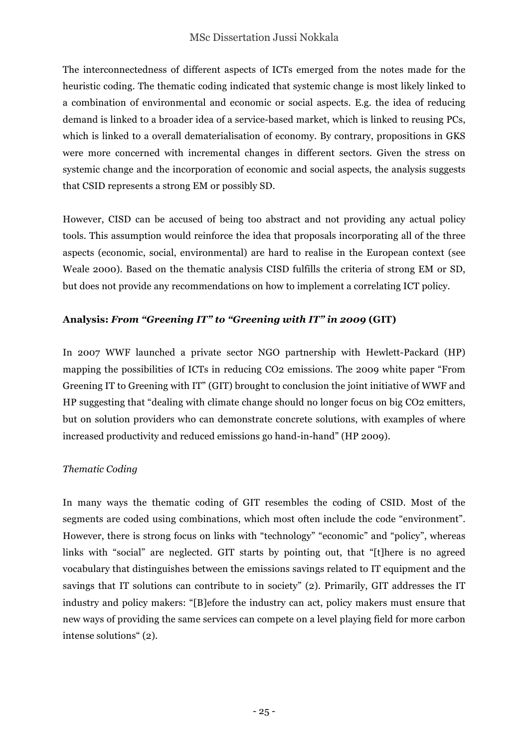The interconnectedness of different aspects of ICTs emerged from the notes made for the heuristic coding. The thematic coding indicated that systemic change is most likely linked to a combination of environmental and economic or social aspects. E.g. the idea of reducing demand is linked to a broader idea of a service-based market, which is linked to reusing PCs, which is linked to a overall dematerialisation of economy. By contrary, propositions in GKS were more concerned with incremental changes in different sectors. Given the stress on systemic change and the incorporation of economic and social aspects, the analysis suggests that CSID represents a strong EM or possibly SD.

However, CISD can be accused of being too abstract and not providing any actual policy tools. This assumption would reinforce the idea that proposals incorporating all of the three aspects (economic, social, environmental) are hard to realise in the European context (see Weale 2000). Based on the thematic analysis CISD fulfills the criteria of strong EM or SD, but does not provide any recommendations on how to implement a correlating ICT policy.

### **Analysis:** *From "Greening IT" to "Greening with IT" in 2009* **(GIT)**

In 2007 WWF launched a private sector NGO partnership with Hewlett-Packard (HP) mapping the possibilities of ICTs in reducing CO2 emissions. The 2009 white paper "From Greening IT to Greening with IT" (GIT) brought to conclusion the joint initiative of WWF and HP suggesting that "dealing with climate change should no longer focus on big CO2 emitters, but on solution providers who can demonstrate concrete solutions, with examples of where increased productivity and reduced emissions go hand-in-hand" (HP 2009).

#### *Thematic Coding*

In many ways the thematic coding of GIT resembles the coding of CSID. Most of the segments are coded using combinations, which most often include the code "environment". However, there is strong focus on links with "technology" "economic" and "policy", whereas links with "social" are neglected. GIT starts by pointing out, that "[t]here is no agreed vocabulary that distinguishes between the emissions savings related to IT equipment and the savings that IT solutions can contribute to in society" (2). Primarily, GIT addresses the IT industry and policy makers: "[B]efore the industry can act, policy makers must ensure that new ways of providing the same services can compete on a level playing field for more carbon intense solutions" (2).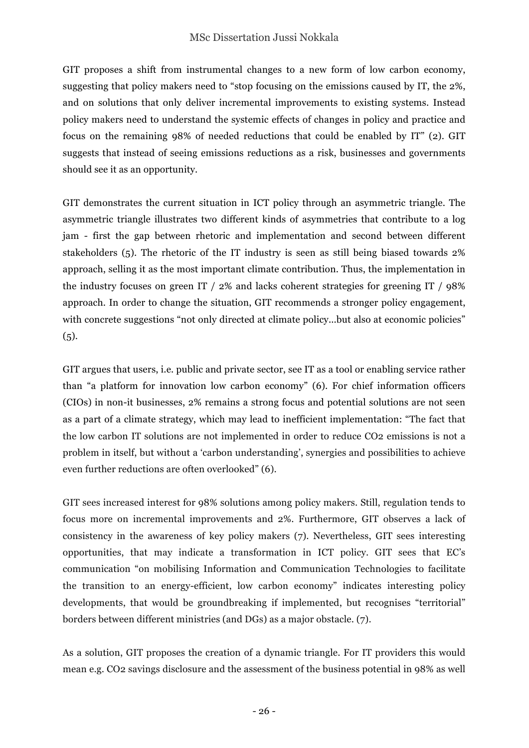GIT proposes a shift from instrumental changes to a new form of low carbon economy, suggesting that policy makers need to "stop focusing on the emissions caused by IT, the 2%, and on solutions that only deliver incremental improvements to existing systems. Instead policy makers need to understand the systemic effects of changes in policy and practice and focus on the remaining 98% of needed reductions that could be enabled by IT" (2). GIT suggests that instead of seeing emissions reductions as a risk, businesses and governments should see it as an opportunity.

GIT demonstrates the current situation in ICT policy through an asymmetric triangle. The asymmetric triangle illustrates two different kinds of asymmetries that contribute to a log jam - first the gap between rhetoric and implementation and second between different stakeholders (5). The rhetoric of the IT industry is seen as still being biased towards 2% approach, selling it as the most important climate contribution. Thus, the implementation in the industry focuses on green IT / 2% and lacks coherent strategies for greening IT / 98% approach. In order to change the situation, GIT recommends a stronger policy engagement, with concrete suggestions "not only directed at climate policy...but also at economic policies"  $(5).$ 

GIT argues that users, i.e. public and private sector, see IT as a tool or enabling service rather than "a platform for innovation low carbon economy" (6). For chief information officers (CIOs) in non-it businesses, 2% remains a strong focus and potential solutions are not seen as a part of a climate strategy, which may lead to inefficient implementation: "The fact that the low carbon IT solutions are not implemented in order to reduce CO2 emissions is not a problem in itself, but without a 'carbon understanding', synergies and possibilities to achieve even further reductions are often overlooked" (6).

GIT sees increased interest for 98% solutions among policy makers. Still, regulation tends to focus more on incremental improvements and 2%. Furthermore, GIT observes a lack of consistency in the awareness of key policy makers (7). Nevertheless, GIT sees interesting opportunities, that may indicate a transformation in ICT policy. GIT sees that EC's communication "on mobilising Information and Communication Technologies to facilitate the transition to an energy-efficient, low carbon economy" indicates interesting policy developments, that would be groundbreaking if implemented, but recognises "territorial" borders between different ministries (and DGs) as a major obstacle. (7).

As a solution, GIT proposes the creation of a dynamic triangle. For IT providers this would mean e.g. CO2 savings disclosure and the assessment of the business potential in 98% as well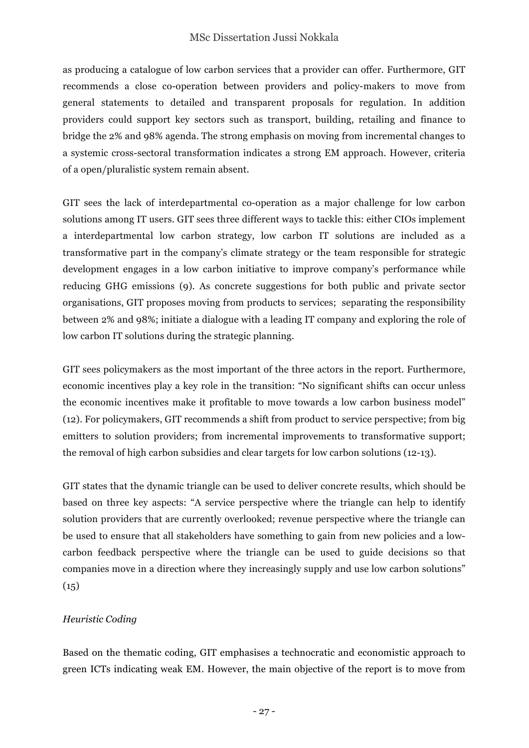as producing a catalogue of low carbon services that a provider can offer. Furthermore, GIT recommends a close co-operation between providers and policy-makers to move from general statements to detailed and transparent proposals for regulation. In addition providers could support key sectors such as transport, building, retailing and finance to bridge the 2% and 98% agenda. The strong emphasis on moving from incremental changes to a systemic cross-sectoral transformation indicates a strong EM approach. However, criteria of a open/pluralistic system remain absent.

GIT sees the lack of interdepartmental co-operation as a major challenge for low carbon solutions among IT users. GIT sees three different ways to tackle this: either CIOs implement a interdepartmental low carbon strategy, low carbon IT solutions are included as a transformative part in the company's climate strategy or the team responsible for strategic development engages in a low carbon initiative to improve company's performance while reducing GHG emissions (9). As concrete suggestions for both public and private sector organisations, GIT proposes moving from products to services; separating the responsibility between 2% and 98%; initiate a dialogue with a leading IT company and exploring the role of low carbon IT solutions during the strategic planning.

GIT sees policymakers as the most important of the three actors in the report. Furthermore, economic incentives play a key role in the transition: "No significant shifts can occur unless the economic incentives make it profitable to move towards a low carbon business model" (12). For policymakers, GIT recommends a shift from product to service perspective; from big emitters to solution providers; from incremental improvements to transformative support; the removal of high carbon subsidies and clear targets for low carbon solutions (12-13).

GIT states that the dynamic triangle can be used to deliver concrete results, which should be based on three key aspects: "A service perspective where the triangle can help to identify solution providers that are currently overlooked; revenue perspective where the triangle can be used to ensure that all stakeholders have something to gain from new policies and a lowcarbon feedback perspective where the triangle can be used to guide decisions so that companies move in a direction where they increasingly supply and use low carbon solutions"  $(15)$ 

### *Heuristic Coding*

Based on the thematic coding, GIT emphasises a technocratic and economistic approach to green ICTs indicating weak EM. However, the main objective of the report is to move from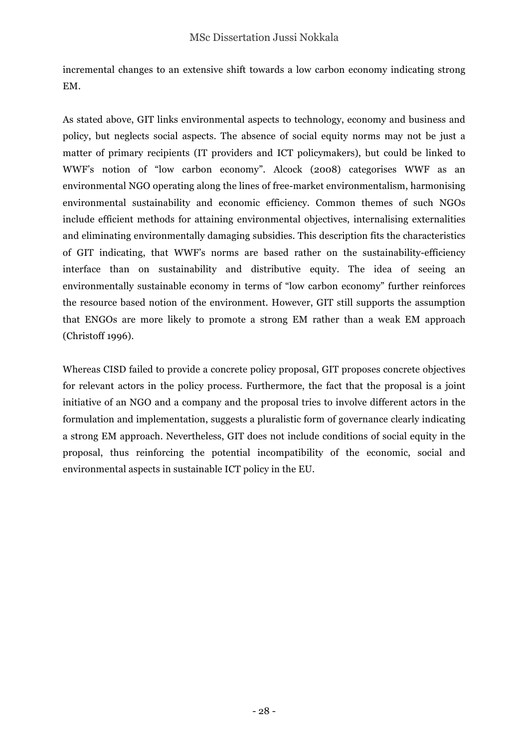incremental changes to an extensive shift towards a low carbon economy indicating strong EM.

As stated above, GIT links environmental aspects to technology, economy and business and policy, but neglects social aspects. The absence of social equity norms may not be just a matter of primary recipients (IT providers and ICT policymakers), but could be linked to WWF's notion of "low carbon economy". Alcock (2008) categorises WWF as an environmental NGO operating along the lines of free-market environmentalism, harmonising environmental sustainability and economic efficiency. Common themes of such NGOs include efficient methods for attaining environmental objectives, internalising externalities and eliminating environmentally damaging subsidies. This description fits the characteristics of GIT indicating, that WWF's norms are based rather on the sustainability-efficiency interface than on sustainability and distributive equity. The idea of seeing an environmentally sustainable economy in terms of "low carbon economy" further reinforces the resource based notion of the environment. However, GIT still supports the assumption that ENGOs are more likely to promote a strong EM rather than a weak EM approach (Christoff 1996).

Whereas CISD failed to provide a concrete policy proposal, GIT proposes concrete objectives for relevant actors in the policy process. Furthermore, the fact that the proposal is a joint initiative of an NGO and a company and the proposal tries to involve different actors in the formulation and implementation, suggests a pluralistic form of governance clearly indicating a strong EM approach. Nevertheless, GIT does not include conditions of social equity in the proposal, thus reinforcing the potential incompatibility of the economic, social and environmental aspects in sustainable ICT policy in the EU.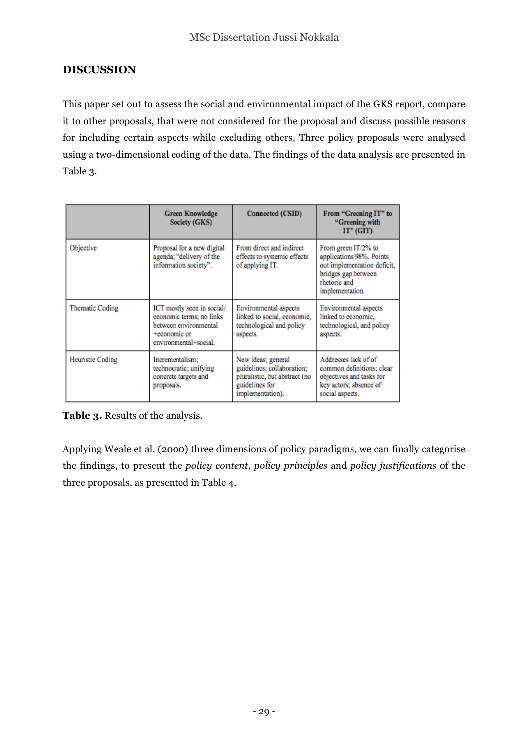## **DISCUSSION**

This paper set out to assess the social and environmental impact of the GKS report, compare it to other proposals, that were not considered for the proposal and discuss possible reasons for including certain aspects while excluding others. Three policy proposals were analysed using a two-dimensional coding of the data. The findings of the data analysis are presented in Table 3.

|                         | <b>Green Knowledge</b><br><b>Society (GKS)</b>                                                                           | Connected (CSID)                                                                                                        | From "Greening IT" to<br>"Greening with<br>$IT"$ (GIT)                                                                                   |
|-------------------------|--------------------------------------------------------------------------------------------------------------------------|-------------------------------------------------------------------------------------------------------------------------|------------------------------------------------------------------------------------------------------------------------------------------|
| Objective               | Proposal for a new digital<br>agenda; "delivery of the<br>information society".                                          | From direct and indirect<br>effects to systemic effects<br>of applying IT.                                              | From green IT/2% to<br>applications/98%. Points<br>out implementation deficit.<br>bridges gap between<br>rhetoric and<br>implementation. |
| <b>Thematic Coding</b>  | ICT mostly seen in social/<br>economic terms; no links<br>between environmental<br>+economic or<br>environmental+social. | Environmental aspects<br>linked to social, economic,<br>technological and policy<br>aspects.                            | Environmental aspects<br>linked to economic.<br>technological, and policy<br>aspects.                                                    |
| <b>Heuristic Coding</b> | Incrementalism:<br>technocratic; unifying<br>concrete targets and<br>proposals.                                          | New ideas; general<br>guidelines; collaboration;<br>pluralistic, but abstract (no<br>guidelines for<br>implementation). | Addresses lack of of<br>common definitions; clear<br>objectives and tasks for<br>key actors; absence of<br>social aspects.               |

**Table 3.** Results of the analysis.

Applying Weale et al. (2000) three dimensions of policy paradigms, we can finally categorise the findings, to present the *policy content, policy principles* and *policy justifications* of the three proposals, as presented in Table 4.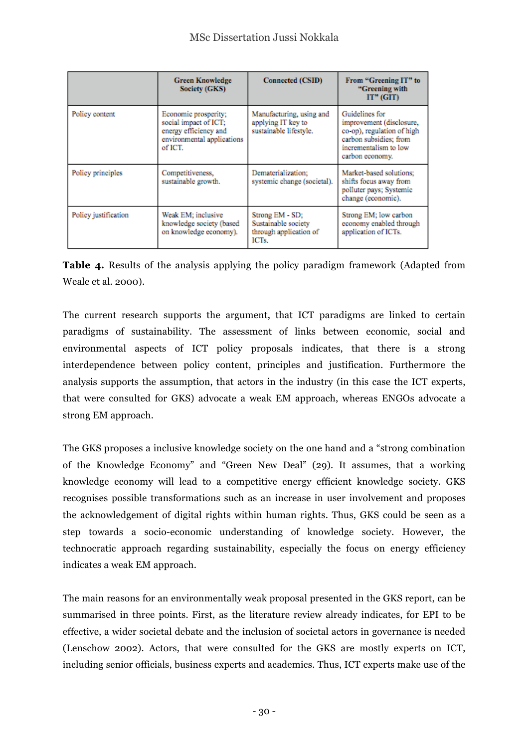|                      | <b>Green Knowledge</b><br><b>Society (GKS)</b>                                                                  | <b>Connected (CSID)</b>                                                   | From "Greening IT" to<br>"Greening with<br>$IT"$ ( $GIT$ )                                                                                     |
|----------------------|-----------------------------------------------------------------------------------------------------------------|---------------------------------------------------------------------------|------------------------------------------------------------------------------------------------------------------------------------------------|
| Policy content       | Economic prosperity;<br>social impact of ICT;<br>energy efficiency and<br>environmental applications<br>of ICT. | Manufacturing, using and<br>applying IT key to<br>sustainable lifestyle.  | Guidelines for<br>improvement (disclosure,<br>co-op), regulation of high<br>carbon subsidies; from<br>incrementalism to low<br>carbon economy. |
| Policy principles    | Competitiveness,<br>sustainable growth.                                                                         | Dematerialization;<br>systemic change (societal).                         | Market-based solutions:<br>shifts focus away from<br>polluter pays; Systemic<br>change (economic).                                             |
| Policy justification | Weak EM; inclusive<br>knowledge society (based<br>on knowledge economy).                                        | Strong EM - SD;<br>Sustainable society<br>through application of<br>ICTs. | Strong EM; low carbon<br>economy enabled through<br>application of ICTs.                                                                       |

**Table 4.** Results of the analysis applying the policy paradigm framework (Adapted from Weale et al. 2000).

The current research supports the argument, that ICT paradigms are linked to certain paradigms of sustainability. The assessment of links between economic, social and environmental aspects of ICT policy proposals indicates, that there is a strong interdependence between policy content, principles and justification. Furthermore the analysis supports the assumption, that actors in the industry (in this case the ICT experts, that were consulted for GKS) advocate a weak EM approach, whereas ENGOs advocate a strong EM approach.

The GKS proposes a inclusive knowledge society on the one hand and a "strong combination of the Knowledge Economy" and "Green New Deal" (29). It assumes, that a working knowledge economy will lead to a competitive energy efficient knowledge society. GKS recognises possible transformations such as an increase in user involvement and proposes the acknowledgement of digital rights within human rights. Thus, GKS could be seen as a step towards a socio-economic understanding of knowledge society. However, the technocratic approach regarding sustainability, especially the focus on energy efficiency indicates a weak EM approach.

The main reasons for an environmentally weak proposal presented in the GKS report, can be summarised in three points. First, as the literature review already indicates, for EPI to be effective, a wider societal debate and the inclusion of societal actors in governance is needed (Lenschow 2002). Actors, that were consulted for the GKS are mostly experts on ICT, including senior officials, business experts and academics. Thus, ICT experts make use of the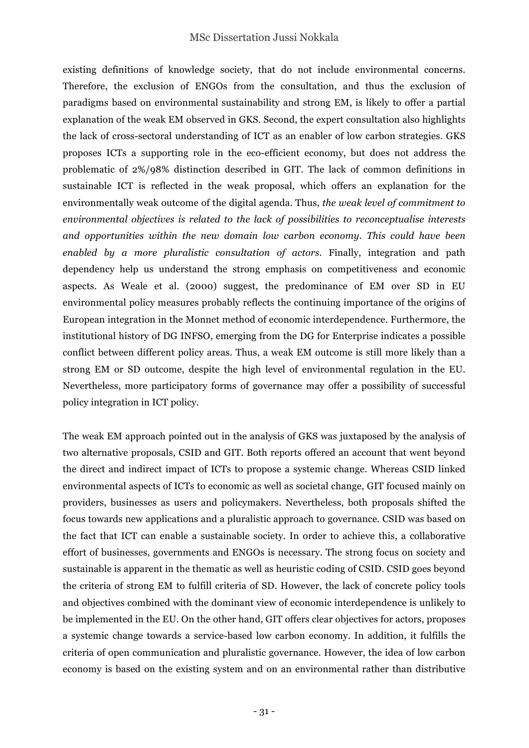existing definitions of knowledge society, that do not include environmental concerns. Therefore, the exclusion of ENGOs from the consultation, and thus the exclusion of paradigms based on environmental sustainability and strong EM, is likely to offer a partial explanation of the weak EM observed in GKS. Second, the expert consultation also highlights the lack of cross-sectoral understanding of ICT as an enabler of low carbon strategies. GKS proposes ICTs a supporting role in the eco-efficient economy, but does not address the problematic of 2%/98% distinction described in GIT. The lack of common definitions in sustainable ICT is reflected in the weak proposal, which offers an explanation for the environmentally weak outcome of the digital agenda. Thus, *the weak level of commitment to environmental objectives is related to the lack of possibilities to reconceptualise interests and opportunities within the new domain low carbon economy. This could have been enabled by a more pluralistic consultation of actors.* Finally, integration and path dependency help us understand the strong emphasis on competitiveness and economic aspects. As Weale et al. (2000) suggest, the predominance of EM over SD in EU environmental policy measures probably reflects the continuing importance of the origins of European integration in the Monnet method of economic interdependence. Furthermore, the institutional history of DG INFSO, emerging from the DG for Enterprise indicates a possible conflict between different policy areas. Thus, a weak EM outcome is still more likely than a strong EM or SD outcome, despite the high level of environmental regulation in the EU. Nevertheless, more participatory forms of governance may offer a possibility of successful policy integration in ICT policy.

The weak EM approach pointed out in the analysis of GKS was juxtaposed by the analysis of two alternative proposals, CSID and GIT. Both reports offered an account that went beyond the direct and indirect impact of ICTs to propose a systemic change. Whereas CSID linked environmental aspects of ICTs to economic as well as societal change, GIT focused mainly on providers, businesses as users and policymakers. Nevertheless, both proposals shifted the focus towards new applications and a pluralistic approach to governance. CSID was based on the fact that ICT can enable a sustainable society. In order to achieve this, a collaborative effort of businesses, governments and ENGOs is necessary. The strong focus on society and sustainable is apparent in the thematic as well as heuristic coding of CSID. CSID goes beyond the criteria of strong EM to fulfill criteria of SD. However, the lack of concrete policy tools and objectives combined with the dominant view of economic interdependence is unlikely to be implemented in the EU. On the other hand, GIT offers clear objectives for actors, proposes a systemic change towards a service-based low carbon economy. In addition, it fulfills the criteria of open communication and pluralistic governance. However, the idea of low carbon economy is based on the existing system and on an environmental rather than distributive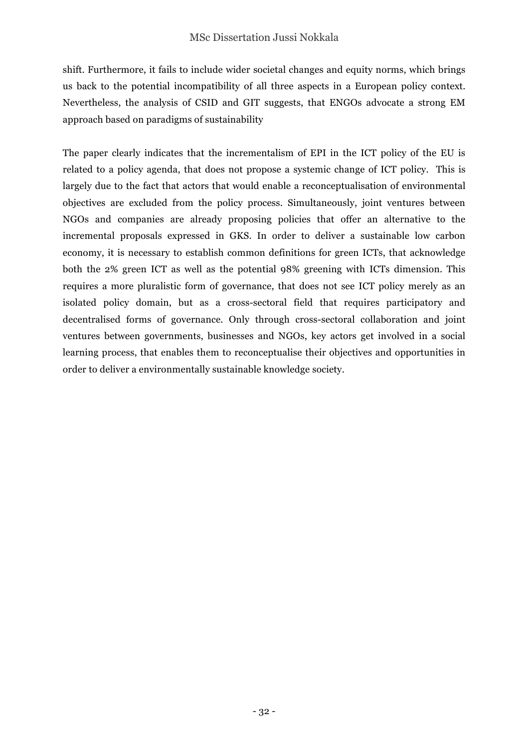shift. Furthermore, it fails to include wider societal changes and equity norms, which brings us back to the potential incompatibility of all three aspects in a European policy context. Nevertheless, the analysis of CSID and GIT suggests, that ENGOs advocate a strong EM approach based on paradigms of sustainability

The paper clearly indicates that the incrementalism of EPI in the ICT policy of the EU is related to a policy agenda, that does not propose a systemic change of ICT policy. This is largely due to the fact that actors that would enable a reconceptualisation of environmental objectives are excluded from the policy process. Simultaneously, joint ventures between NGOs and companies are already proposing policies that offer an alternative to the incremental proposals expressed in GKS. In order to deliver a sustainable low carbon economy, it is necessary to establish common definitions for green ICTs, that acknowledge both the 2% green ICT as well as the potential 98% greening with ICTs dimension. This requires a more pluralistic form of governance, that does not see ICT policy merely as an isolated policy domain, but as a cross-sectoral field that requires participatory and decentralised forms of governance. Only through cross-sectoral collaboration and joint ventures between governments, businesses and NGOs, key actors get involved in a social learning process, that enables them to reconceptualise their objectives and opportunities in order to deliver a environmentally sustainable knowledge society.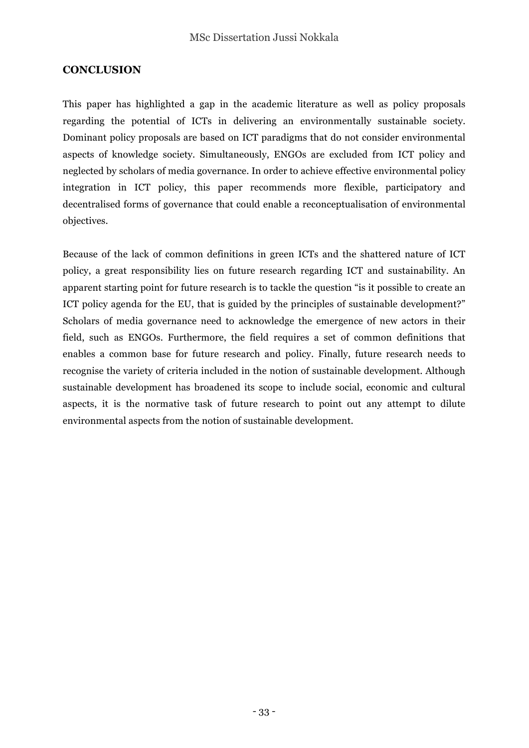#### **CONCLUSION**

This paper has highlighted a gap in the academic literature as well as policy proposals regarding the potential of ICTs in delivering an environmentally sustainable society. Dominant policy proposals are based on ICT paradigms that do not consider environmental aspects of knowledge society. Simultaneously, ENGOs are excluded from ICT policy and neglected by scholars of media governance. In order to achieve effective environmental policy integration in ICT policy, this paper recommends more flexible, participatory and decentralised forms of governance that could enable a reconceptualisation of environmental objectives.

Because of the lack of common definitions in green ICTs and the shattered nature of ICT policy, a great responsibility lies on future research regarding ICT and sustainability. An apparent starting point for future research is to tackle the question "is it possible to create an ICT policy agenda for the EU, that is guided by the principles of sustainable development?" Scholars of media governance need to acknowledge the emergence of new actors in their field, such as ENGOs. Furthermore, the field requires a set of common definitions that enables a common base for future research and policy. Finally, future research needs to recognise the variety of criteria included in the notion of sustainable development. Although sustainable development has broadened its scope to include social, economic and cultural aspects, it is the normative task of future research to point out any attempt to dilute environmental aspects from the notion of sustainable development.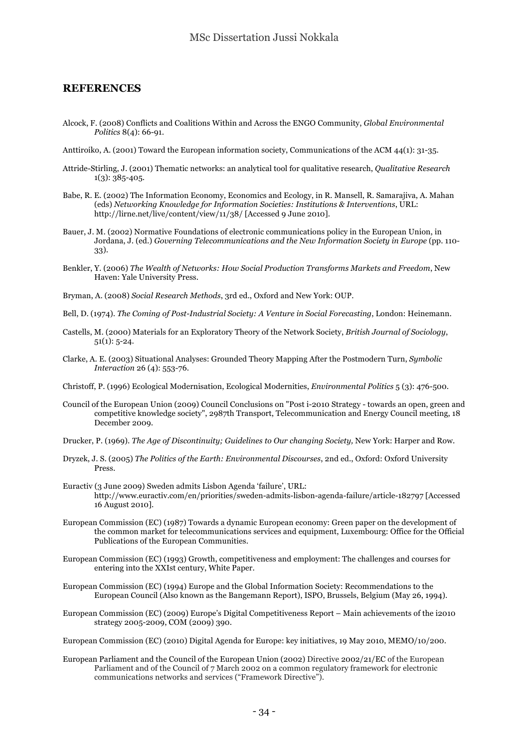#### **REFERENCES**

- Alcock, F. (2008) Conflicts and Coalitions Within and Across the ENGO Community, *Global Environmental Politics* 8(4): 66-91.
- Anttiroiko, A. (2001) Toward the European information society, Communications of the ACM 44(1): 31-35.
- Attride-Stirling, J. (2001) Thematic networks: an analytical tool for qualitative research, *Qualitative Research*  $1(3)$ : 385-405.
- Babe, R. E. (2002) The Information Economy, Economics and Ecology, in R. Mansell, R. Samarajiva, A. Mahan (eds) *Networking Knowledge for Information Societies: Institutions & Interventions*, URL: http://lirne.net/live/content/view/11/38/ [Accessed 9 June 2010].
- Bauer, J. M. (2002) Normative Foundations of electronic communications policy in the European Union, in Jordana, J. (ed.) *Governing Telecommunications and the New Information Society in Europe* (pp. 110- 33).
- Benkler, Y. (2006) *The Wealth of Networks: How Social Production Transforms Markets and Freedom*, New Haven: Yale University Press.
- Bryman, A. (2008) *Social Research Methods*, 3rd ed., Oxford and New York: OUP.
- Bell, D. (1974). *The Coming of Post-Industrial Society: A Venture in Social Forecasting*, London: Heinemann.
- Castells, M. (2000) Materials for an Exploratory Theory of the Network Society, *British Journal of Sociology*, 51(1): 5-24.
- Clarke, A. E. (2003) Situational Analyses: Grounded Theory Mapping After the Postmodern Turn, *Symbolic Interaction* 26 (4): 553-76.
- Christoff, P. (1996) Ecological Modernisation, Ecological Modernities, *Environmental Politics* 5 (3): 476-500.
- Council of the European Union (2009) Council Conclusions on "Post i-2010 Strategy towards an open, green and competitive knowledge society", 2987th Transport, Telecommunication and Energy Council meeting, 18 December 2009.
- Drucker, P. (1969). *The Age of Discontinuity; Guidelines to Our changing Society,* New York: Harper and Row.
- Dryzek, J. S. (2005) *The Politics of the Earth: Environmental Discourses*, 2nd ed., Oxford: Oxford University Press.
- Euractiv (3 June 2009) Sweden admits Lisbon Agenda 'failure', URL: http://www.euractiv.com/en/priorities/sweden-admits-lisbon-agenda-failure/article-182797 [Accessed 16 August 2010].
- European Commission (EC) (1987) Towards a dynamic European economy: Green paper on the development of the common market for telecommunications services and equipment, Luxembourg: Office for the Official Publications of the European Communities.
- European Commission (EC) (1993) Growth, competitiveness and employment: The challenges and courses for entering into the XXIst century, White Paper.
- European Commission (EC) (1994) Europe and the Global Information Society: Recommendations to the European Council (Also known as the Bangemann Report), ISPO, Brussels, Belgium (May 26, 1994).
- European Commission (EC) (2009) Europe's Digital Competitiveness Report Main achievements of the i2010 strategy 2005-2009, COM (2009) 390.

European Commission (EC) (2010) Digital Agenda for Europe: key initiatives, 19 May 2010, MEMO/10/200.

European Parliament and the Council of the European Union (2002) Directive 2002/21/EC of the European Parliament and of the Council of 7 March 2002 on a common regulatory framework for electronic communications networks and services ("Framework Directive").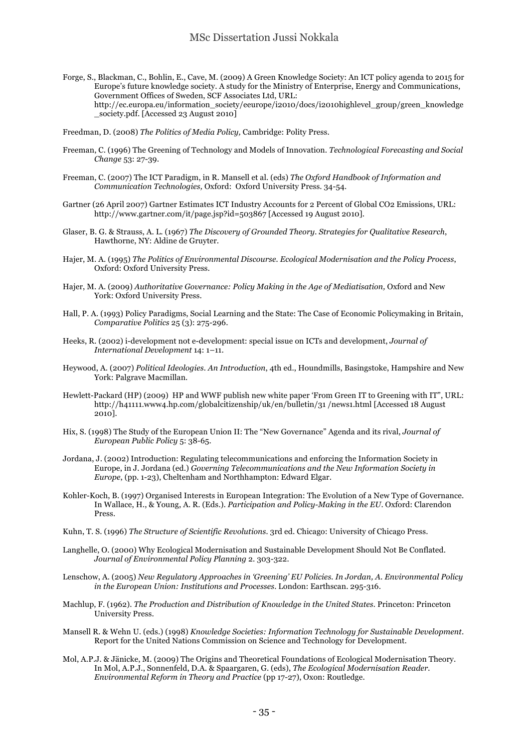- Forge, S., Blackman, C., Bohlin, E., Cave, M. (2009) A Green Knowledge Society: An ICT policy agenda to 2015 for Europe's future knowledge society. A study for the Ministry of Enterprise, Energy and Communications, Government Offices of Sweden, SCF Associates Ltd, URL: http://ec.europa.eu/information\_society/eeurope/i2010/docs/i2010highlevel\_group/green\_knowledge \_society.pdf. [Accessed 23 August 2010]
- Freedman, D. (2008) *The Politics of Media Policy,* Cambridge: Polity Press.
- Freeman, C. (1996) The Greening of Technology and Models of Innovation. *Technological Forecasting and Social Change* 53: 27-39.
- Freeman, C. (2007) The ICT Paradigm, in R. Mansell et al. (eds) *The Oxford Handbook of Information and Communication Technologies,* Oxford: Oxford University Press. 34-54.
- Gartner (26 April 2007) Gartner Estimates ICT Industry Accounts for 2 Percent of Global CO2 Emissions, URL: http://www.gartner.com/it/page.jsp?id=503867 [Accessed 19 August 2010].
- Glaser, B. G. & Strauss, A. L. (1967) *The Discovery of Grounded Theory. Strategies for Qualitative Research*, Hawthorne, NY: Aldine de Gruyter.
- Hajer, M. A. (1995) *The Politics of Environmental Discourse. Ecological Modernisation and the Policy Process*, Oxford: Oxford University Press.
- Hajer, M. A. (2009) *Authoritative Governance: Policy Making in the Age of Mediatisation,* Oxford and New York: Oxford University Press.
- Hall, P. A. (1993) Policy Paradigms, Social Learning and the State: The Case of Economic Policymaking in Britain, *Comparative Politics* 25 (3): 275-296.
- Heeks, R. (2002) i-development not e-development: special issue on ICTs and development, *Journal of International Development* 14: 1–11.
- Heywood, A. (2007) *Political Ideologies. An Introduction*, 4th ed., Houndmills, Basingstoke, Hampshire and New York: Palgrave Macmillan.
- Hewlett-Packard (HP) (2009) HP and WWF publish new white paper 'From Green IT to Greening with IT", URL: http://h41111.www4.hp.com/globalcitizenship/uk/en/bulletin/31 /news1.html [Accessed 18 August 2010].
- Hix, S. (1998) The Study of the European Union II: The "New Governance" Agenda and its rival, *Journal of European Public Policy* 5: 38-65.
- Jordana, J. (2002) Introduction: Regulating telecommunications and enforcing the Information Society in Europe, in J. Jordana (ed.) *Governing Telecommunications and the New Information Society in Europe*, (pp. 1-23), Cheltenham and Northhampton: Edward Elgar.
- Kohler-Koch, B. (1997) Organised Interests in European Integration: The Evolution of a New Type of Governance. In Wallace, H., & Young, A. R. (Eds.). *Participation and Policy-Making in the EU*. Oxford: Clarendon Press.
- Kuhn, T. S. (1996) *The Structure of Scientific Revolutions.* 3rd ed. Chicago: University of Chicago Press.
- Langhelle, O. (2000) Why Ecological Modernisation and Sustainable Development Should Not Be Conflated. *Journal of Environmental Policy Planning* 2. 303-322.
- Lenschow, A. (2005) *New Regulatory Approaches in 'Greening' EU Policies. In Jordan, A. Environmental Policy in the European Union: Institutions and Processes*. London: Earthscan. 295-316.
- Machlup, F. (1962). *The Production and Distribution of Knowledge in the United States.* Princeton: Princeton University Press.
- Mansell R. & Wehn U. (eds.) (1998) *Knowledge Societies: Information Technology for Sustainable Development*. Report for the United Nations Commission on Science and Technology for Development.
- Mol, A.P.J. & Jänicke, M. (2009) The Origins and Theoretical Foundations of Ecological Modernisation Theory. In Mol, A.P.J., Sonnenfeld, D.A. & Spaargaren, G. (eds), *The Ecological Modernisation Reader. Environmental Reform in Theory and Practice* (pp 17-27), Oxon: Routledge.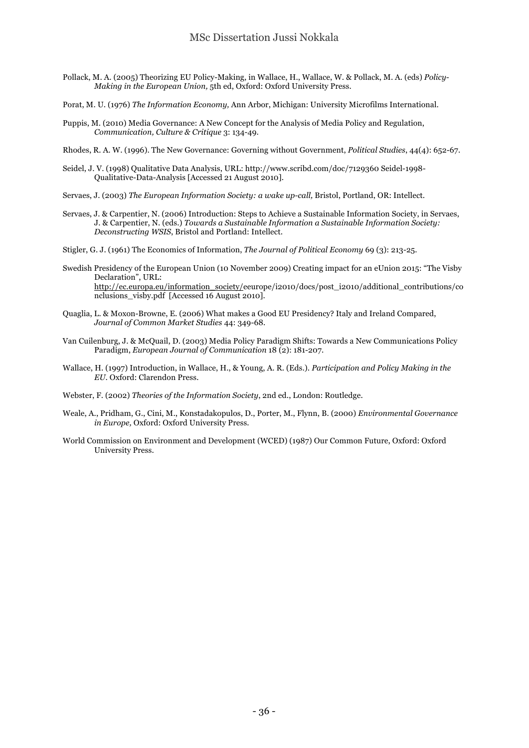Pollack, M. A. (2005) Theorizing EU Policy-Making, in Wallace, H., Wallace, W. & Pollack, M. A. (eds) *Policy-Making in the European Union,* 5th ed, Oxford: Oxford University Press.

Porat, M. U. (1976) *The Information Economy,* Ann Arbor, Michigan: University Microfilms International.

Puppis, M. (2010) Media Governance: A New Concept for the Analysis of Media Policy and Regulation, *Communication, Culture & Critique* 3: 134-49.

Rhodes, R. A. W. (1996). The New Governance: Governing without Government, *Political Studies*, 44(4): 652-67.

- Seidel, J. V. (1998) Qualitative Data Analysis, URL: http://www.scribd.com/doc/7129360 Seidel-1998- Qualitative-Data-Analysis [Accessed 21 August 2010].
- Servaes, J. (2003) *The European Information Society: a wake up-call,* Bristol, Portland, OR: Intellect.
- Servaes, J. & Carpentier, N. (2006) Introduction: Steps to Achieve a Sustainable Information Society, in Servaes, J. & Carpentier, N. (eds.) *Towards a Sustainable Information a Sustainable Information Society: Deconstructing WSIS*, Bristol and Portland: Intellect.
- Stigler, G. J. (1961) The Economics of Information, *The Journal of Political Economy* 69 (3): 213-25.
- Swedish Presidency of the European Union (10 November 2009) Creating impact for an eUnion 2015: "The Visby Declaration", URL: http://ec.europa.eu/information\_society/eeurope/i2010/docs/post\_i2010/additional\_contributions/co nclusions\_visby.pdf [Accessed 16 August 2010].
- Quaglia, L. & Moxon-Browne, E. (2006) What makes a Good EU Presidency? Italy and Ireland Compared, *Journal of Common Market Studies* 44: 349-68.
- Van Cuilenburg, J. & McQuail, D. (2003) Media Policy Paradigm Shifts: Towards a New Communications Policy Paradigm, *European Journal of Communication* 18 (2): 181-207.
- Wallace, H. (1997) Introduction, in Wallace, H., & Young, A. R. (Eds.). *Participation and Policy Making in the EU*. Oxford: Clarendon Press.
- Webster, F. (2002) *Theories of the Information Society*, 2nd ed., London: Routledge.
- Weale, A., Pridham, G., Cini, M., Konstadakopulos, D., Porter, M., Flynn, B. (2000) *Environmental Governance in Europe,* Oxford: Oxford University Press.
- World Commission on Environment and Development (WCED) (1987) Our Common Future, Oxford: Oxford University Press.